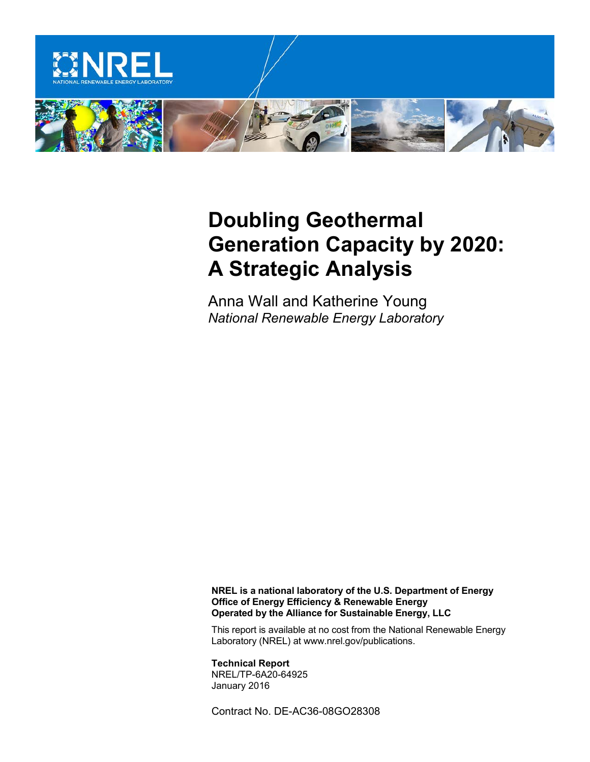

# **Doubling Geothermal Generation Capacity by 2020: A Strategic Analysis**

Anna Wall and Katherine Young *National Renewable Energy Laboratory*

**NREL is a national laboratory of the U.S. Department of Energy Office of Energy Efficiency & Renewable Energy Operated by the Alliance for Sustainable Energy, LLC**

This report is available at no cost from the National Renewable Energy Laboratory (NREL) at www.nrel.gov/publications.

**Technical Report** NREL/TP-6A20-64925 January 2016

Contract No. DE-AC36-08GO28308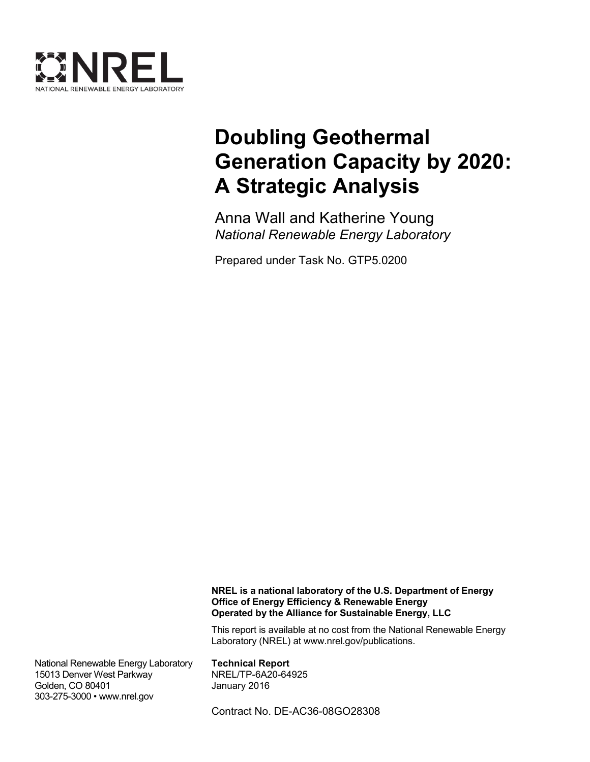

# **Doubling Geothermal Generation Capacity by 2020: A Strategic Analysis**

Anna Wall and Katherine Young *National Renewable Energy Laboratory*

Prepared under Task No. GTP5.0200

**NREL is a national laboratory of the U.S. Department of Energy Office of Energy Efficiency & Renewable Energy Operated by the Alliance for Sustainable Energy, LLC**

This report is available at no cost from the National Renewable Energy Laboratory (NREL) at www.nrel.gov/publications.

National Renewable Energy Laboratory 15013 Denver West Parkway Golden, CO 80401 303-275-3000 • www.nrel.gov

**Technical Report** NREL/TP-6A20-64925 January 2016

Contract No. DE-AC36-08GO28308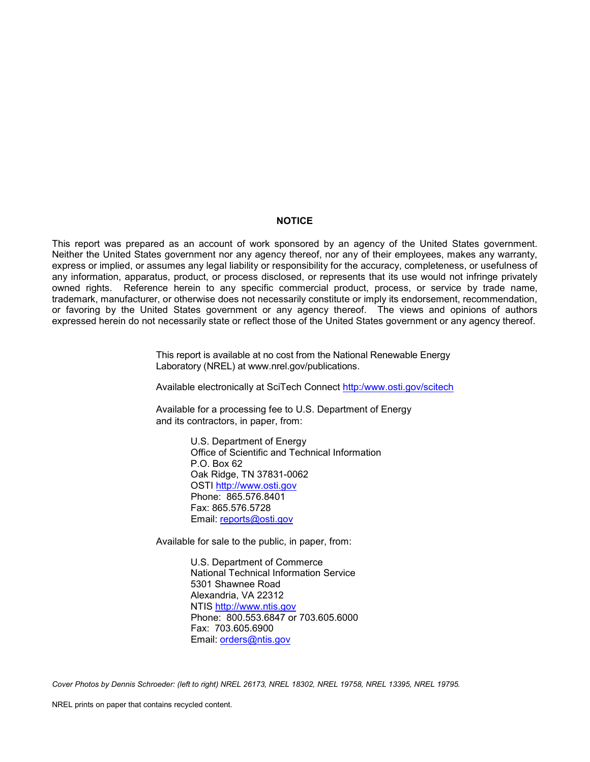#### **NOTICE**

This report was prepared as an account of work sponsored by an agency of the United States government. Neither the United States government nor any agency thereof, nor any of their employees, makes any warranty, express or implied, or assumes any legal liability or responsibility for the accuracy, completeness, or usefulness of any information, apparatus, product, or process disclosed, or represents that its use would not infringe privately owned rights. Reference herein to any specific commercial product, process, or service by trade name, trademark, manufacturer, or otherwise does not necessarily constitute or imply its endorsement, recommendation, or favoring by the United States government or any agency thereof. The views and opinions of authors expressed herein do not necessarily state or reflect those of the United States government or any agency thereof.

> This report is available at no cost from the National Renewable Energy Laboratory (NREL) at www.nrel.gov/publications.

Available electronically at [SciTech Connect http:/www.osti.gov/scitech](http://www.osti.gov/scitech)

Available for a processing fee to U.S. Department of Energy and its contractors, in paper, from:

> U.S. Department of Energy Office of Scientific and Technical Information P.O. Box 62 Oak Ridge, TN 37831-0062 [OSTI http://www.osti.gov](http://www.osti.gov/) Phone: 865.576.8401 Fax: 865.576.5728 [Email: reports@osti.gov](mailto:reports@osti.gov)

Available for sale to the public, in paper, from:

U.S. Department of Commerce National Technical Information Service 5301 Shawnee Road Alexandria, VA 22312 [NTIS http://www.ntis.gov](http://www.ntis.gov/) Phone: 800.553.6847 or 703.605.6000 Fax: 703.605.6900 [Email: orders@ntis.gov](mailto:orders@ntis.gov)

*Cover Photos by Dennis Schroeder: (left to right) NREL 26173, NREL 18302, NREL 19758, NREL 13395, NREL 19795.*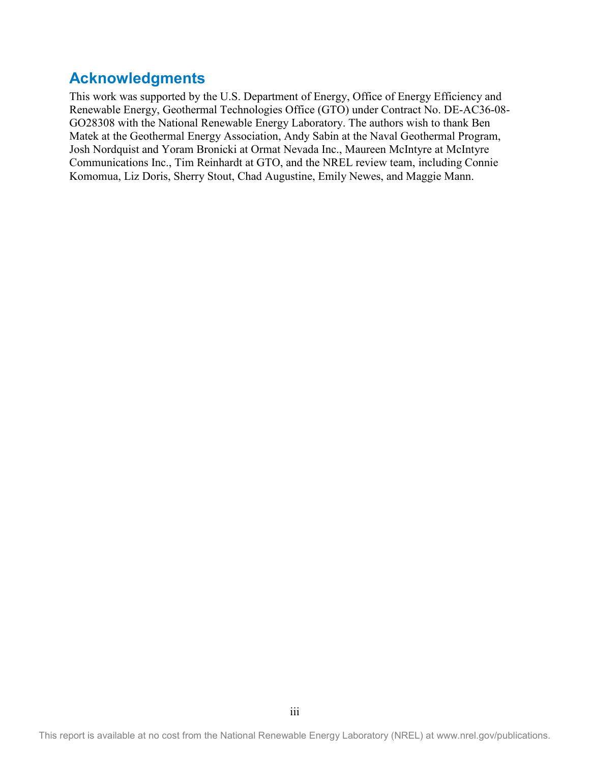## **Acknowledgments**

This work was supported by the U.S. Department of Energy, Office of Energy Efficiency and Renewable Energy, Geothermal Technologies Office (GTO) under Contract No. DE-AC36-08- GO28308 with the National Renewable Energy Laboratory. The authors wish to thank Ben Matek at the Geothermal Energy Association, Andy Sabin at the Naval Geothermal Program, Josh Nordquist and Yoram Bronicki at Ormat Nevada Inc., Maureen McIntyre at McIntyre Communications Inc., Tim Reinhardt at GTO, and the NREL review team, including Connie Komomua, Liz Doris, Sherry Stout, Chad Augustine, Emily Newes, and Maggie Mann.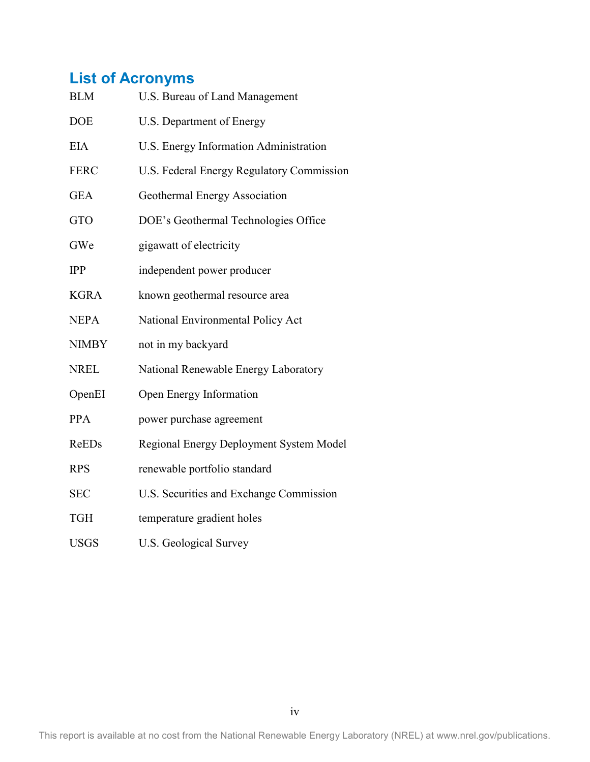## **List of Acronyms**

| <b>BLM</b>   | U.S. Bureau of Land Management            |
|--------------|-------------------------------------------|
| <b>DOE</b>   | U.S. Department of Energy                 |
| <b>EIA</b>   | U.S. Energy Information Administration    |
| <b>FERC</b>  | U.S. Federal Energy Regulatory Commission |
| <b>GEA</b>   | Geothermal Energy Association             |
| <b>GTO</b>   | DOE's Geothermal Technologies Office      |
| GWe          | gigawatt of electricity                   |
| <b>IPP</b>   | independent power producer                |
| <b>KGRA</b>  | known geothermal resource area            |
| <b>NEPA</b>  | National Environmental Policy Act         |
| <b>NIMBY</b> | not in my backyard                        |
| <b>NREL</b>  | National Renewable Energy Laboratory      |
| OpenEI       | Open Energy Information                   |
| <b>PPA</b>   | power purchase agreement                  |
| ReEDs        | Regional Energy Deployment System Model   |
| <b>RPS</b>   | renewable portfolio standard              |
| <b>SEC</b>   | U.S. Securities and Exchange Commission   |
| <b>TGH</b>   | temperature gradient holes                |
| <b>USGS</b>  | <b>U.S. Geological Survey</b>             |

This report is available at no cost from the National Renewable Energy Laboratory (NREL) at www.nrel.gov/publications.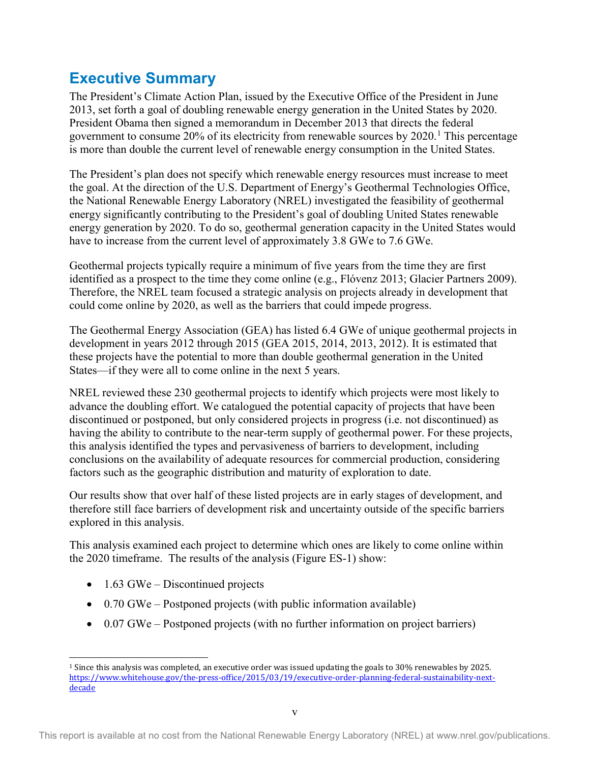## <span id="page-5-1"></span>**Executive Summary**

The President's Climate Action Plan, issued by the Executive Office of the President in June 2013, set forth a goal of doubling renewable energy generation in the United States by 2020. President Obama then signed a memorandum in December 2013 that directs the federal government to consume 20% of its electricity from renewable sources by 2020. [1](#page-5-0) This percentage is more than double the current level of renewable energy consumption in the United States.

The President's plan does not specify which renewable energy resources must increase to meet the goal. At the direction of the U.S. Department of Energy's Geothermal Technologies Office, the National Renewable Energy Laboratory (NREL) investigated the feasibility of geothermal energy significantly contributing to the President's goal of doubling United States renewable energy generation by 2020. To do so, geothermal generation capacity in the United States would have to increase from the current level of approximately 3.8 GWe to 7.6 GWe.

Geothermal projects typically require a minimum of five years from the time they are first identified as a prospect to the time they come online (e.g., Flóvenz 2013; Glacier Partners 2009). Therefore, the NREL team focused a strategic analysis on projects already in development that could come online by 2020, as well as the barriers that could impede progress.

The Geothermal Energy Association (GEA) has listed 6.4 GWe of unique geothermal projects in development in years 2012 through 2015 (GEA 2015, 2014, 2013, 2012). It is estimated that these projects have the potential to more than double geothermal generation in the United States—if they were all to come online in the next 5 years.

NREL reviewed these 230 geothermal projects to identify which projects were most likely to advance the doubling effort. We catalogued the potential capacity of projects that have been discontinued or postponed, but only considered projects in progress (i.e. not discontinued) as having the ability to contribute to the near-term supply of geothermal power. For these projects, this analysis identified the types and pervasiveness of barriers to development, including conclusions on the availability of adequate resources for commercial production, considering factors such as the geographic distribution and maturity of exploration to date.

Our results show that over half of these listed projects are in early stages of development, and therefore still face barriers of development risk and uncertainty outside of the specific barriers explored in this analysis.

This analysis examined each project to determine which ones are likely to come online within the 2020 timeframe. The results of the analysis [\(Figure E](#page-6-0)S-1) show:

- $1.63$  GWe Discontinued projects
- 0.70 GWe Postponed projects (with public information available)
- 0.07 GWe Postponed projects (with no further information on project barriers)

<span id="page-5-0"></span> <sup>1</sup> Since this analysis was completed, an executive order was issued updating the goals to 30% renewables by 2025. [https://www.whitehouse.gov/the-press-office/2015/03/19/executive-order-planning-federal-sustainability-next](https://www.whitehouse.gov/the-press-office/2015/03/19/executive-order-planning-federal-sustainability-next-decade)**[decade](https://www.whitehouse.gov/the-press-office/2015/03/19/executive-order-planning-federal-sustainability-next-decade)**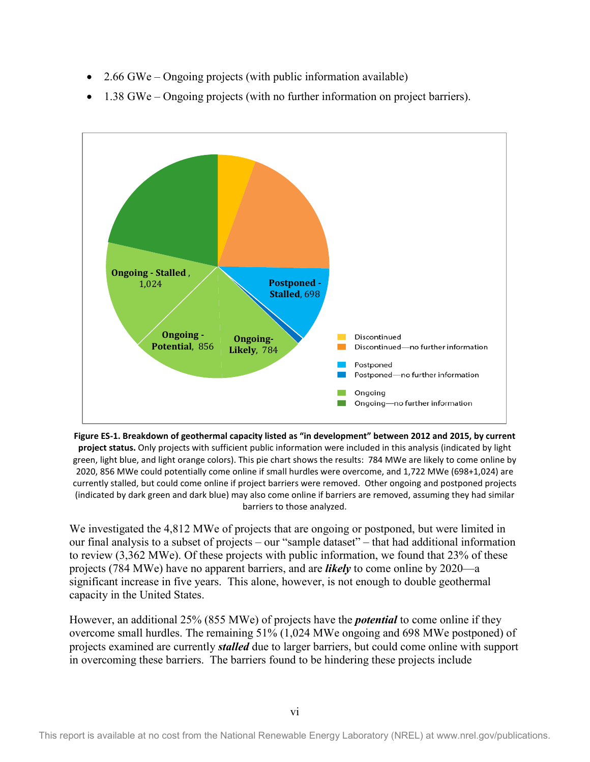- 2.66 GWe Ongoing projects (with public information available)
- 1.38 GWe Ongoing projects (with no further information on project barriers).



<span id="page-6-0"></span>**Figure ES-1. Breakdown of geothermal capacity listed as "in development" between 2012 and 2015, by current project status.** Only projects with sufficient public information were included in this analysis (indicated by light green, light blue, and light orange colors). This pie chart shows the results: 784 MWe are likely to come online by 2020, 856 MWe could potentially come online if small hurdles were overcome, and 1,722 MWe (698+1,024) are currently stalled, but could come online if project barriers were removed. Other ongoing and postponed projects (indicated by dark green and dark blue) may also come online if barriers are removed, assuming they had similar barriers to those analyzed.

We investigated the 4,812 MWe of projects that are ongoing or postponed, but were limited in our final analysis to a subset of projects – our "sample dataset" – that had additional information to review (3,362 MWe). Of these projects with public information, we found that 23% of these projects (784 MWe) have no apparent barriers, and are *likely* to come online by 2020—a significant increase in five years. This alone, however, is not enough to double geothermal capacity in the United States.

However, an additional 25% (855 MWe) of projects have the *potential* to come online if they overcome small hurdles. The remaining 51% (1,024 MWe ongoing and 698 MWe postponed) of projects examined are currently *stalled* due to larger barriers, but could come online with support in overcoming these barriers. The barriers found to be hindering these projects include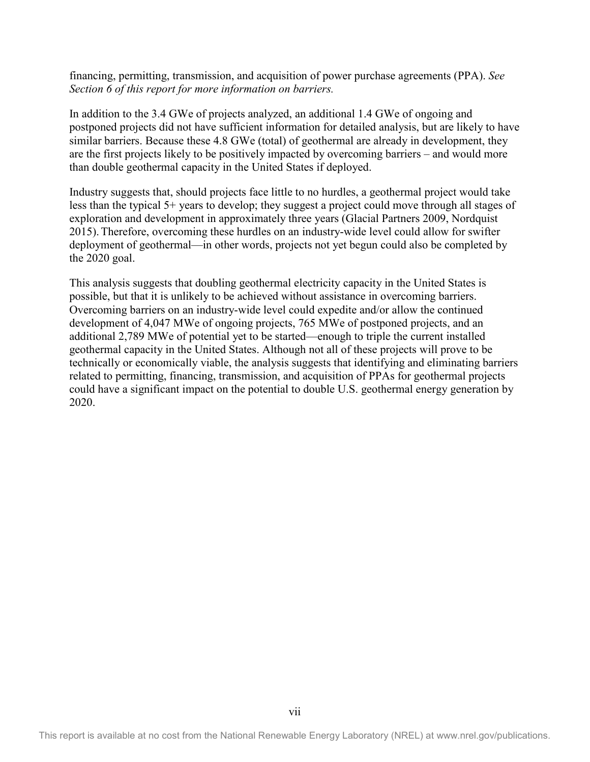financing, permitting, transmission, and acquisition of power purchase agreements (PPA). *See Section 6 of this report for more information on barriers.*

In addition to the 3.4 GWe of projects analyzed, an additional 1.4 GWe of ongoing and postponed projects did not have sufficient information for detailed analysis, but are likely to have similar barriers. Because these 4.8 GWe (total) of geothermal are already in development, they are the first projects likely to be positively impacted by overcoming barriers – and would more than double geothermal capacity in the United States if deployed.

Industry suggests that, should projects face little to no hurdles, a geothermal project would take less than the typical 5+ years to develop; they suggest a project could move through all stages of exploration and development in approximately three years (Glacial Partners 2009, Nordquist 2015).Therefore, overcoming these hurdles on an industry-wide level could allow for swifter deployment of geothermal—in other words, projects not yet begun could also be completed by the 2020 goal.

This analysis suggests that doubling geothermal electricity capacity in the United States is possible, but that it is unlikely to be achieved without assistance in overcoming barriers. Overcoming barriers on an industry-wide level could expedite and/or allow the continued development of 4,047 MWe of ongoing projects, 765 MWe of postponed projects, and an additional 2,789 MWe of potential yet to be started—enough to triple the current installed geothermal capacity in the United States. Although not all of these projects will prove to be technically or economically viable, the analysis suggests that identifying and eliminating barriers related to permitting, financing, transmission, and acquisition of PPAs for geothermal projects could have a significant impact on the potential to double U.S. geothermal energy generation by 2020.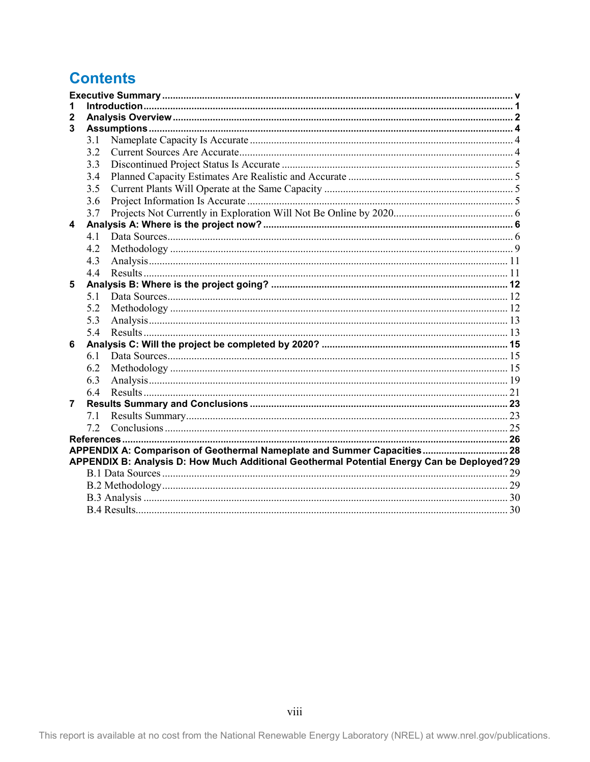## **Contents**

| 1 |      |                                                                                            |  |
|---|------|--------------------------------------------------------------------------------------------|--|
| 2 |      |                                                                                            |  |
| 3 |      |                                                                                            |  |
|   | 3.1  |                                                                                            |  |
|   | 3.2  |                                                                                            |  |
|   | 3.3  |                                                                                            |  |
|   | 3.4  |                                                                                            |  |
|   | 3.5  |                                                                                            |  |
|   | 3.6  |                                                                                            |  |
|   | 3.7  |                                                                                            |  |
| 4 |      |                                                                                            |  |
|   | 4.1  |                                                                                            |  |
|   | 4.2  |                                                                                            |  |
|   | 4.3  |                                                                                            |  |
|   | 4.4  |                                                                                            |  |
| 5 |      |                                                                                            |  |
|   | .5 1 |                                                                                            |  |
|   | 5.2  |                                                                                            |  |
|   | 5.3  |                                                                                            |  |
|   | 5.4  |                                                                                            |  |
| 6 |      |                                                                                            |  |
|   | 6.1  |                                                                                            |  |
|   | 6.2  |                                                                                            |  |
|   | 6.3  |                                                                                            |  |
|   | 6.4  |                                                                                            |  |
| 7 |      |                                                                                            |  |
|   | 7.1  |                                                                                            |  |
|   | 7.2  |                                                                                            |  |
|   |      |                                                                                            |  |
|   |      | APPENDIX A: Comparison of Geothermal Nameplate and Summer Capacities 28                    |  |
|   |      | APPENDIX B: Analysis D: How Much Additional Geothermal Potential Energy Can be Deployed?29 |  |
|   |      |                                                                                            |  |
|   |      |                                                                                            |  |
|   |      |                                                                                            |  |
|   |      |                                                                                            |  |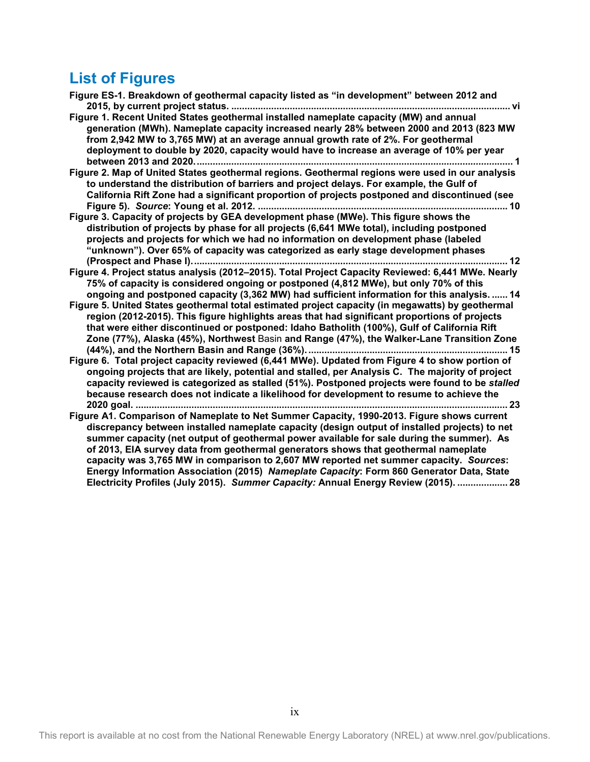# **List of Figures**

| Figure ES-1. Breakdown of geothermal capacity listed as "in development" between 2012 and                                                                                                                                                                                                                                                                                                                                                                     |
|---------------------------------------------------------------------------------------------------------------------------------------------------------------------------------------------------------------------------------------------------------------------------------------------------------------------------------------------------------------------------------------------------------------------------------------------------------------|
|                                                                                                                                                                                                                                                                                                                                                                                                                                                               |
| Figure 1. Recent United States geothermal installed nameplate capacity (MW) and annual<br>generation (MWh). Nameplate capacity increased nearly 28% between 2000 and 2013 (823 MW<br>from 2,942 MW to 3,765 MW) at an average annual growth rate of 2%. For geothermal<br>deployment to double by 2020, capacity would have to increase an average of 10% per year                                                                                            |
| Figure 2. Map of United States geothermal regions. Geothermal regions were used in our analysis                                                                                                                                                                                                                                                                                                                                                               |
| to understand the distribution of barriers and project delays. For example, the Gulf of<br>California Rift Zone had a significant proportion of projects postponed and discontinued (see                                                                                                                                                                                                                                                                      |
| Figure 3. Capacity of projects by GEA development phase (MWe). This figure shows the<br>distribution of projects by phase for all projects (6,641 MWe total), including postponed<br>projects and projects for which we had no information on development phase (labeled<br>"unknown"). Over 65% of capacity was categorized as early stage development phases                                                                                                |
| Figure 4. Project status analysis (2012-2015). Total Project Capacity Reviewed: 6,441 MWe. Nearly                                                                                                                                                                                                                                                                                                                                                             |
| 75% of capacity is considered ongoing or postponed (4,812 MWe), but only 70% of this<br>ongoing and postponed capacity (3,362 MW) had sufficient information for this analysis.  14                                                                                                                                                                                                                                                                           |
| Figure 5. United States geothermal total estimated project capacity (in megawatts) by geothermal<br>region (2012-2015). This figure highlights areas that had significant proportions of projects<br>that were either discontinued or postponed: Idaho Batholith (100%), Gulf of California Rift<br>Zone (77%), Alaska (45%), Northwest Basin and Range (47%), the Walker-Lane Transition Zone                                                                |
| Figure 6. Total project capacity reviewed (6,441 MWe). Updated from Figure 4 to show portion of<br>ongoing projects that are likely, potential and stalled, per Analysis C. The majority of project<br>capacity reviewed is categorized as stalled (51%). Postponed projects were found to be stalled<br>because research does not indicate a likelihood for development to resume to achieve the<br>. 23                                                     |
| Figure A1. Comparison of Nameplate to Net Summer Capacity, 1990-2013. Figure shows current<br>discrepancy between installed nameplate capacity (design output of installed projects) to net                                                                                                                                                                                                                                                                   |
| summer capacity (net output of geothermal power available for sale during the summer). As<br>of 2013, EIA survey data from geothermal generators shows that geothermal nameplate<br>capacity was 3,765 MW in comparison to 2,607 MW reported net summer capacity. Sources:<br>Energy Information Association (2015) Nameplate Capacity: Form 860 Generator Data, State<br>Electricity Profiles (July 2015). Summer Capacity: Annual Energy Review (2015).  28 |
|                                                                                                                                                                                                                                                                                                                                                                                                                                                               |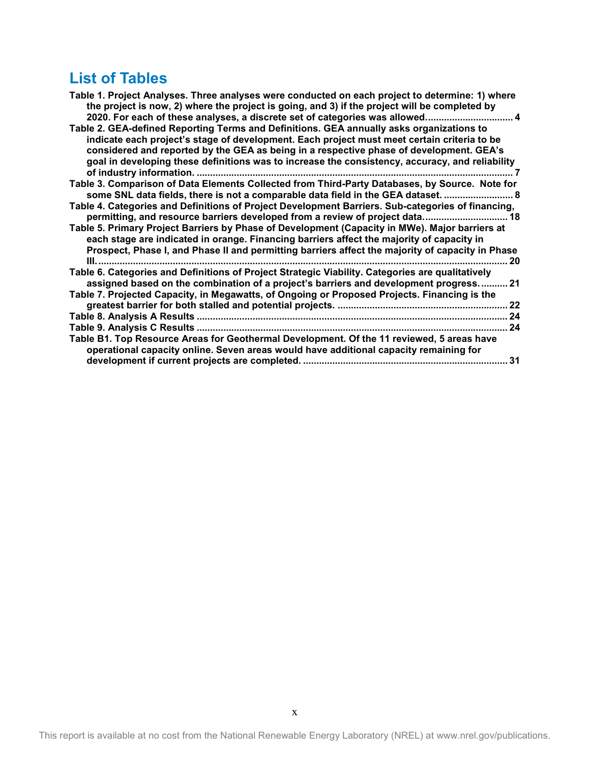## **List of Tables**

| Table 1. Project Analyses. Three analyses were conducted on each project to determine: 1) where<br>the project is now, 2) where the project is going, and 3) if the project will be completed by                                                                                                                                                                                                                                                                      |    |
|-----------------------------------------------------------------------------------------------------------------------------------------------------------------------------------------------------------------------------------------------------------------------------------------------------------------------------------------------------------------------------------------------------------------------------------------------------------------------|----|
| 2020. For each of these analyses, a discrete set of categories was allowed 4<br>Table 2. GEA-defined Reporting Terms and Definitions. GEA annually asks organizations to<br>indicate each project's stage of development. Each project must meet certain criteria to be<br>considered and reported by the GEA as being in a respective phase of development. GEA's<br>goal in developing these definitions was to increase the consistency, accuracy, and reliability |    |
| Table 3. Comparison of Data Elements Collected from Third-Party Databases, by Source. Note for<br>some SNL data fields, there is not a comparable data field in the GEA dataset.  8                                                                                                                                                                                                                                                                                   |    |
| Table 4. Categories and Definitions of Project Development Barriers. Sub-categories of financing,<br>permitting, and resource barriers developed from a review of project data 18                                                                                                                                                                                                                                                                                     |    |
| Table 5. Primary Project Barriers by Phase of Development (Capacity in MWe). Major barriers at<br>each stage are indicated in orange. Financing barriers affect the majority of capacity in<br>Prospect, Phase I, and Phase II and permitting barriers affect the majority of capacity in Phase                                                                                                                                                                       | 20 |
| Table 6. Categories and Definitions of Project Strategic Viability. Categories are qualitatively<br>assigned based on the combination of a project's barriers and development progress 21                                                                                                                                                                                                                                                                             |    |
| Table 7. Projected Capacity, in Megawatts, of Ongoing or Proposed Projects. Financing is the                                                                                                                                                                                                                                                                                                                                                                          | 22 |
|                                                                                                                                                                                                                                                                                                                                                                                                                                                                       |    |
|                                                                                                                                                                                                                                                                                                                                                                                                                                                                       | 24 |
| Table B1. Top Resource Areas for Geothermal Development. Of the 11 reviewed, 5 areas have<br>operational capacity online. Seven areas would have additional capacity remaining for                                                                                                                                                                                                                                                                                    | 31 |
|                                                                                                                                                                                                                                                                                                                                                                                                                                                                       |    |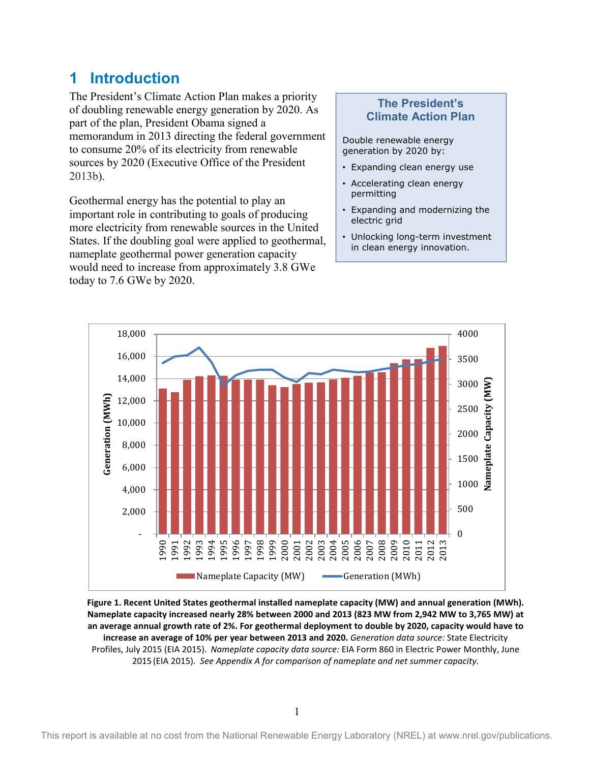## <span id="page-11-0"></span>**1 Introduction**

The President's Climate Action Plan makes a priority of doubling renewable energy generation by 2020. As part of the plan, President Obama signed a memorandum in 2013 directing the federal government to consume 20% of its electricity from renewable sources by 2020 (Executive Office of the President 2013b).

Geothermal energy has the potential to play an important role in contributing to goals of producing more electricity from renewable sources in the United States. If the doubling goal were applied to geothermal, nameplate geothermal power generation capacity would need to increase from approximately 3.8 GWe today to 7.6 GWe by 2020.

#### **The President's Climate Action Plan**

Double renewable energy generation by 2020 by:

- Expanding clean energy use
- Accelerating clean energy permitting
- Expanding and modernizing the electric grid
- Unlocking long-term investment in clean energy innovation.



<span id="page-11-1"></span>**Figure 1. Recent United States geothermal installed nameplate capacity (MW) and annual generation (MWh). Nameplate capacity increased nearly 28% between 2000 and 2013 (823 MW from 2,942 MW to 3,765 MW) at an average annual growth rate of 2%. For geothermal deployment to double by 2020, capacity would have to increase an average of 10% per year between 2013 and 2020.** *Generation data source:* State Electricity Profiles, July 2015 (EIA 2015). *Nameplate capacity data source:* EIA Form 860 in Electric Power Monthly, June 2015 (EIA 2015). *See Appendix A for comparison of nameplate and net summer capacity.*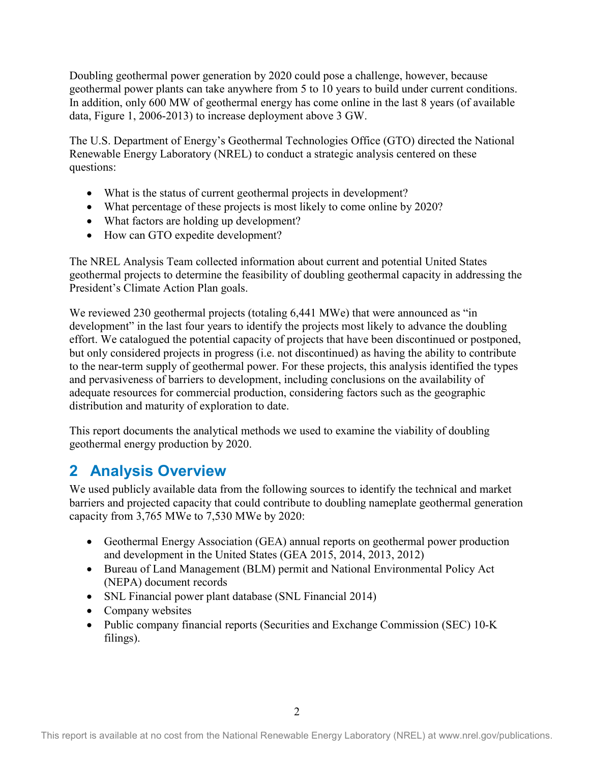Doubling geothermal power generation by 2020 could pose a challenge, however, because geothermal power plants can take anywhere from 5 to 10 years to build under current conditions. In addition, only 600 MW of geothermal energy has come online in the last 8 years (of available data, Figure 1, 2006-2013) to increase deployment above 3 GW.

The U.S. Department of Energy's Geothermal Technologies Office (GTO) directed the National Renewable Energy Laboratory (NREL) to conduct a strategic analysis centered on these questions:

- What is the status of current geothermal projects in development?
- What percentage of these projects is most likely to come online by 2020?
- What factors are holding up development?
- How can GTO expedite development?

The NREL Analysis Team collected information about current and potential United States geothermal projects to determine the feasibility of doubling geothermal capacity in addressing the President's Climate Action Plan goals.

We reviewed 230 geothermal projects (totaling 6,441 MWe) that were announced as "in development" in the last four years to identify the projects most likely to advance the doubling effort. We catalogued the potential capacity of projects that have been discontinued or postponed, but only considered projects in progress (i.e. not discontinued) as having the ability to contribute to the near-term supply of geothermal power. For these projects, this analysis identified the types and pervasiveness of barriers to development, including conclusions on the availability of adequate resources for commercial production, considering factors such as the geographic distribution and maturity of exploration to date.

This report documents the analytical methods we used to examine the viability of doubling geothermal energy production by 2020.

## <span id="page-12-0"></span>**2 Analysis Overview**

We used publicly available data from the following sources to identify the technical and market barriers and projected capacity that could contribute to doubling nameplate geothermal generation capacity from 3,765 MWe to 7,530 MWe by 2020:

- Geothermal Energy Association (GEA) annual reports on geothermal power production and development in the United States (GEA 2015, 2014, 2013, 2012)
- Bureau of Land Management (BLM) permit and National Environmental Policy Act (NEPA) document records
- SNL Financial power plant database (SNL Financial 2014)
- Company websites
- Public company financial reports (Securities and Exchange Commission (SEC) 10-K filings).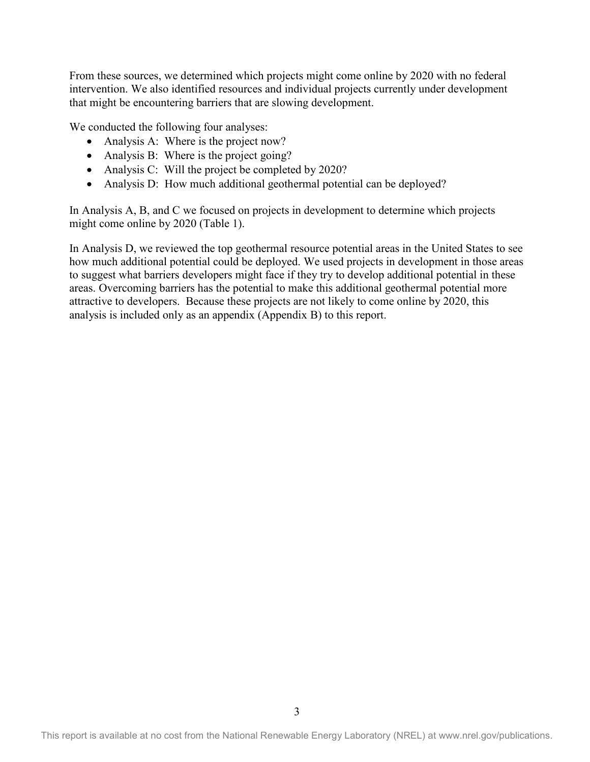From these sources, we determined which projects might come online by 2020 with no federal intervention. We also identified resources and individual projects currently under development that might be encountering barriers that are slowing development.

We conducted the following four analyses:

- Analysis A: Where is the project now?
- Analysis B: Where is the project going?
- Analysis C: Will the project be completed by 2020?
- Analysis D: How much additional geothermal potential can be deployed?

In Analysis A, B, and C we focused on projects in development to determine which projects might come online by 2020 (Table 1).

In Analysis D, we reviewed the top geothermal resource potential areas in the United States to see how much additional potential could be deployed. We used projects in development in those areas to suggest what barriers developers might face if they try to develop additional potential in these areas. Overcoming barriers has the potential to make this additional geothermal potential more attractive to developers. Because these projects are not likely to come online by 2020, this analysis is included only as an appendix (Appendix B) to this report.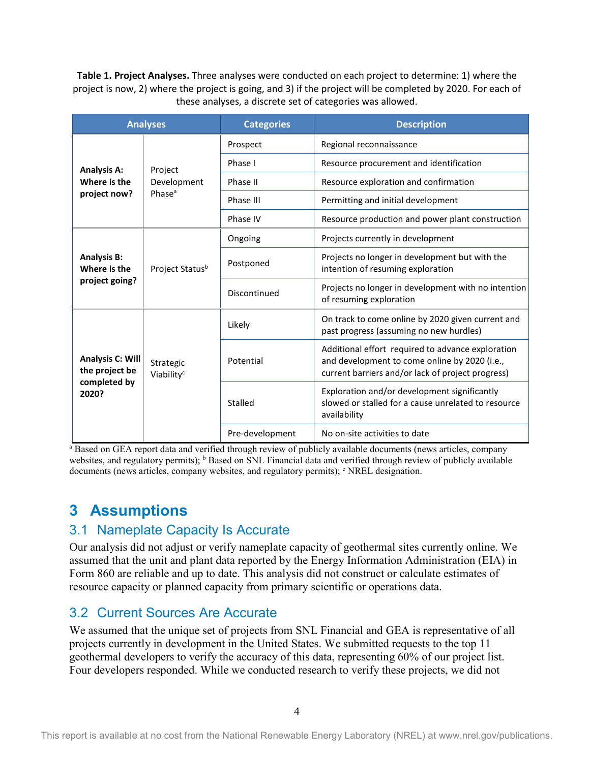<span id="page-14-3"></span>**Table 1. Project Analyses.** Three analyses were conducted on each project to determine: 1) where the project is now, 2) where the project is going, and 3) if the project will be completed by 2020. For each of these analyses, a discrete set of categories was allowed.

| <b>Analyses</b>                                      |                                              | <b>Categories</b> | <b>Description</b>                                                                                                                                      |  |
|------------------------------------------------------|----------------------------------------------|-------------------|---------------------------------------------------------------------------------------------------------------------------------------------------------|--|
|                                                      |                                              | Prospect          | Regional reconnaissance                                                                                                                                 |  |
| <b>Analysis A:</b>                                   | Project<br>Development<br>Phase <sup>a</sup> | Phase I           | Resource procurement and identification                                                                                                                 |  |
| Where is the                                         |                                              | Phase II          | Resource exploration and confirmation                                                                                                                   |  |
| project now?                                         |                                              | Phase III         | Permitting and initial development                                                                                                                      |  |
|                                                      |                                              | Phase IV          | Resource production and power plant construction                                                                                                        |  |
|                                                      |                                              | Ongoing           | Projects currently in development                                                                                                                       |  |
| <b>Analysis B:</b><br>Where is the<br>project going? | Project Statusb                              | Postponed         | Projects no longer in development but with the<br>intention of resuming exploration                                                                     |  |
|                                                      |                                              | Discontinued      | Projects no longer in development with no intention<br>of resuming exploration                                                                          |  |
|                                                      | Strategic<br>Viability <sup>c</sup>          | Likely            | On track to come online by 2020 given current and<br>past progress (assuming no new hurdles)                                                            |  |
| Analysis C: Will<br>the project be                   |                                              | Potential         | Additional effort required to advance exploration<br>and development to come online by 2020 (i.e.,<br>current barriers and/or lack of project progress) |  |
| completed by<br>2020?                                |                                              | Stalled           | Exploration and/or development significantly<br>slowed or stalled for a cause unrelated to resource<br>availability                                     |  |
|                                                      |                                              | Pre-development   | No on-site activities to date                                                                                                                           |  |

<sup>a</sup> Based on GEA report data and verified through review of publicly available documents (news articles, company websites, and regulatory permits); <sup>b</sup> Based on SNL Financial data and verified through review of publicly available documents (news articles, company websites, and regulatory permits); <sup>c</sup> NREL designation.

## <span id="page-14-0"></span>**3 Assumptions**

## <span id="page-14-1"></span>3.1 Nameplate Capacity Is Accurate

Our analysis did not adjust or verify nameplate capacity of geothermal sites currently online. We assumed that the unit and plant data reported by the Energy Information Administration (EIA) in Form 860 are reliable and up to date. This analysis did not construct or calculate estimates of resource capacity or planned capacity from primary scientific or operations data.

## <span id="page-14-2"></span>3.2 Current Sources Are Accurate

We assumed that the unique set of projects from SNL Financial and GEA is representative of all projects currently in development in the United States. We submitted requests to the top 11 geothermal developers to verify the accuracy of this data, representing 60% of our project list. Four developers responded. While we conducted research to verify these projects, we did not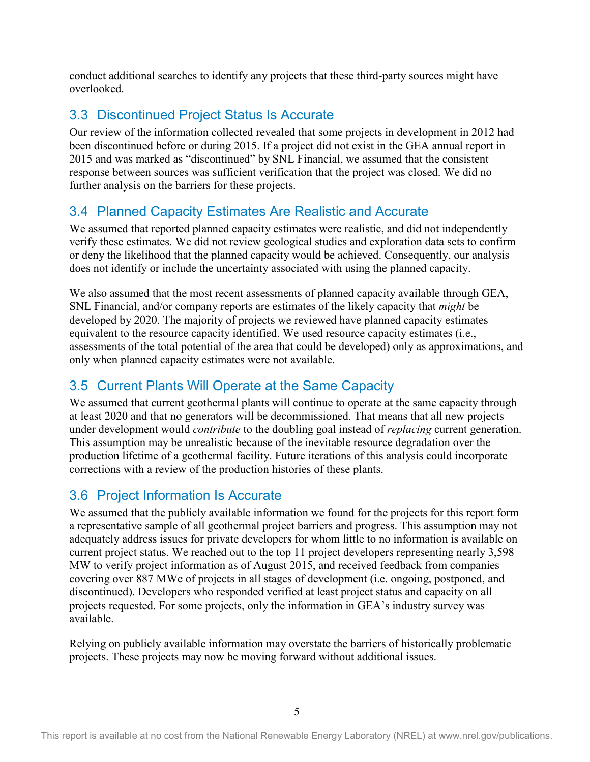conduct additional searches to identify any projects that these third-party sources might have overlooked.

## <span id="page-15-0"></span>3.3 Discontinued Project Status Is Accurate

Our review of the information collected revealed that some projects in development in 2012 had been discontinued before or during 2015. If a project did not exist in the GEA annual report in 2015 and was marked as "discontinued" by SNL Financial, we assumed that the consistent response between sources was sufficient verification that the project was closed. We did no further analysis on the barriers for these projects.

## <span id="page-15-1"></span>3.4 Planned Capacity Estimates Are Realistic and Accurate

We assumed that reported planned capacity estimates were realistic, and did not independently verify these estimates. We did not review geological studies and exploration data sets to confirm or deny the likelihood that the planned capacity would be achieved. Consequently, our analysis does not identify or include the uncertainty associated with using the planned capacity.

We also assumed that the most recent assessments of planned capacity available through GEA, SNL Financial, and/or company reports are estimates of the likely capacity that *might* be developed by 2020. The majority of projects we reviewed have planned capacity estimates equivalent to the resource capacity identified. We used resource capacity estimates (i.e., assessments of the total potential of the area that could be developed) only as approximations, and only when planned capacity estimates were not available.

## <span id="page-15-2"></span>3.5 Current Plants Will Operate at the Same Capacity

We assumed that current geothermal plants will continue to operate at the same capacity through at least 2020 and that no generators will be decommissioned. That means that all new projects under development would *contribute* to the doubling goal instead of *replacing* current generation. This assumption may be unrealistic because of the inevitable resource degradation over the production lifetime of a geothermal facility. Future iterations of this analysis could incorporate corrections with a review of the production histories of these plants.

## <span id="page-15-3"></span>3.6 Project Information Is Accurate

We assumed that the publicly available information we found for the projects for this report form a representative sample of all geothermal project barriers and progress. This assumption may not adequately address issues for private developers for whom little to no information is available on current project status. We reached out to the top 11 project developers representing nearly 3,598 MW to verify project information as of August 2015, and received feedback from companies covering over 887 MWe of projects in all stages of development (i.e. ongoing, postponed, and discontinued). Developers who responded verified at least project status and capacity on all projects requested. For some projects, only the information in GEA's industry survey was available.

Relying on publicly available information may overstate the barriers of historically problematic projects. These projects may now be moving forward without additional issues.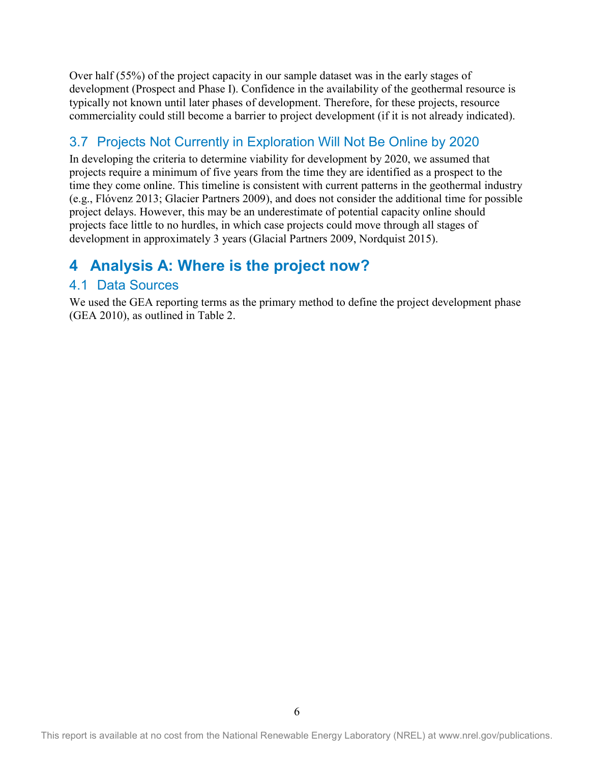Over half (55%) of the project capacity in our sample dataset was in the early stages of development (Prospect and Phase I). Confidence in the availability of the geothermal resource is typically not known until later phases of development. Therefore, for these projects, resource commerciality could still become a barrier to project development (if it is not already indicated).

## <span id="page-16-0"></span>3.7 Projects Not Currently in Exploration Will Not Be Online by 2020

In developing the criteria to determine viability for development by 2020, we assumed that projects require a minimum of five years from the time they are identified as a prospect to the time they come online. This timeline is consistent with current patterns in the geothermal industry (e.g., Flóvenz 2013; Glacier Partners 2009), and does not consider the additional time for possible project delays. However, this may be an underestimate of potential capacity online should projects face little to no hurdles, in which case projects could move through all stages of development in approximately 3 years (Glacial Partners 2009, Nordquist 2015).

## <span id="page-16-1"></span>**4 Analysis A: Where is the project now?**

## <span id="page-16-2"></span>4.1 Data Sources

We used the GEA reporting terms as the primary method to define the project development phase (GEA 2010), as outlined in Table 2.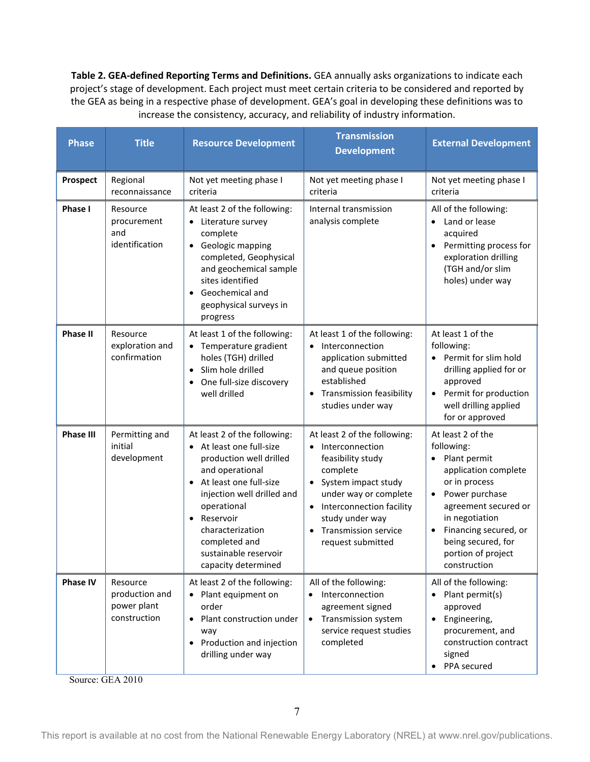<span id="page-17-0"></span>**Table 2. GEA-defined Reporting Terms and Definitions.** GEA annually asks organizations to indicate each project's stage of development. Each project must meet certain criteria to be considered and reported by the GEA as being in a respective phase of development. GEA's goal in developing these definitions was to increase the consistency, accuracy, and reliability of industry information.

| <b>Phase</b>     | <b>Title</b>                                                                                                                                                                                                                                                                                                                                                     | <b>Resource Development</b>                                                                                                                                                     | <b>Transmission</b><br><b>Development</b>                                                                                                                                                                                                        |                                                                                                                                                                                                                                                                                  |  |
|------------------|------------------------------------------------------------------------------------------------------------------------------------------------------------------------------------------------------------------------------------------------------------------------------------------------------------------------------------------------------------------|---------------------------------------------------------------------------------------------------------------------------------------------------------------------------------|--------------------------------------------------------------------------------------------------------------------------------------------------------------------------------------------------------------------------------------------------|----------------------------------------------------------------------------------------------------------------------------------------------------------------------------------------------------------------------------------------------------------------------------------|--|
| <b>Prospect</b>  | Regional<br>reconnaissance                                                                                                                                                                                                                                                                                                                                       | Not yet meeting phase I<br>criteria                                                                                                                                             | Not yet meeting phase I<br>criteria                                                                                                                                                                                                              | Not yet meeting phase I<br>criteria                                                                                                                                                                                                                                              |  |
| Phase I          | At least 2 of the following:<br>Internal transmission<br>Resource<br>analysis complete<br>procurement<br>• Literature survey<br>and<br>complete<br>identification<br>• Geologic mapping<br>completed, Geophysical<br>and geochemical sample<br>sites identified<br>Geochemical and<br>geophysical surveys in<br>progress                                         |                                                                                                                                                                                 |                                                                                                                                                                                                                                                  | All of the following:<br>Land or lease<br>$\bullet$<br>acquired<br>Permitting process for<br>exploration drilling<br>(TGH and/or slim<br>holes) under way                                                                                                                        |  |
| <b>Phase II</b>  | Resource<br>exploration and<br>confirmation                                                                                                                                                                                                                                                                                                                      | At least 1 of the following:<br>Temperature gradient<br>holes (TGH) drilled<br>Slim hole drilled<br>$\bullet$<br>One full-size discovery<br>well drilled                        | At least 1 of the following:<br>Interconnection<br>application submitted<br>and queue position<br>established<br><b>Transmission feasibility</b><br>studies under way                                                                            |                                                                                                                                                                                                                                                                                  |  |
| <b>Phase III</b> | Permitting and<br>At least 2 of the following:<br>initial<br>At least one full-size<br>$\bullet$<br>development<br>production well drilled<br>and operational<br>At least one full-size<br>$\bullet$<br>injection well drilled and<br>operational<br>Reservoir<br>$\bullet$<br>characterization<br>completed and<br>sustainable reservoir<br>capacity determined |                                                                                                                                                                                 | At least 2 of the following:<br>Interconnection<br>$\bullet$<br>feasibility study<br>complete<br>System impact study<br>under way or complete<br>Interconnection facility<br>study under way<br><b>Transmission service</b><br>request submitted | At least 2 of the<br>following:<br>Plant permit<br>$\bullet$<br>application complete<br>or in process<br>Power purchase<br>$\bullet$<br>agreement secured or<br>in negotiation<br>Financing secured, or<br>$\bullet$<br>being secured, for<br>portion of project<br>construction |  |
| <b>Phase IV</b>  | Resource<br>production and<br>power plant<br>construction                                                                                                                                                                                                                                                                                                        | At least 2 of the following:<br>Plant equipment on<br>٠<br>order<br>Plant construction under<br>$\bullet$<br>way<br>Production and injection<br>$\bullet$<br>drilling under way | All of the following:<br>Interconnection<br>$\bullet$<br>agreement signed<br>Transmission system<br>$\bullet$<br>service request studies<br>completed                                                                                            | All of the following:<br>Plant permit(s)<br>approved<br>Engineering,<br>$\bullet$<br>procurement, and<br>construction contract<br>signed<br>PPA secured                                                                                                                          |  |

Source: GEA 2010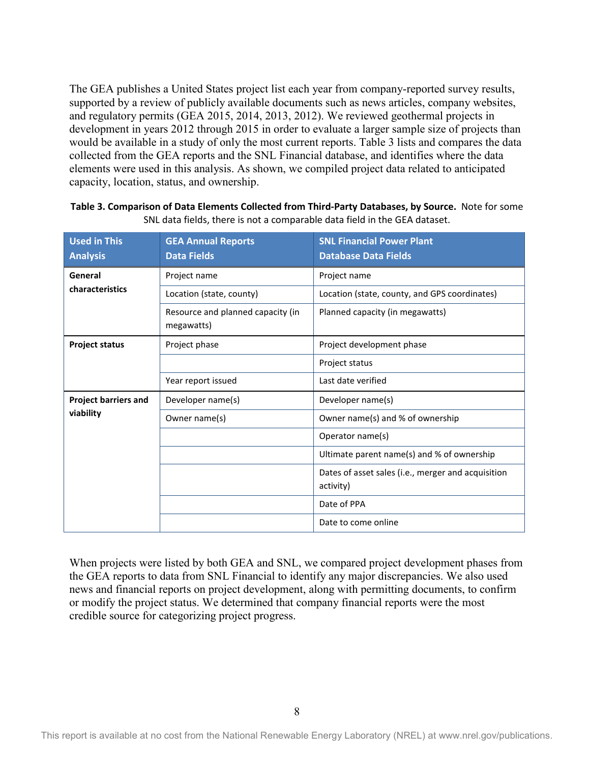The GEA publishes a United States project list each year from company-reported survey results, supported by a review of publicly available documents such as news articles, company websites, and regulatory permits (GEA 2015, 2014, 2013, 2012). We reviewed geothermal projects in development in years 2012 through 2015 in order to evaluate a larger sample size of projects than would be available in a study of only the most current reports. [Table 3](#page-18-0) lists and compares the data collected from the GEA reports and the SNL Financial database, and identifies where the data elements were used in this analysis. As shown, we compiled project data related to anticipated capacity, location, status, and ownership.

| <b>Used in This</b><br><b>Analysis</b> | <b>GEA Annual Reports</b><br><b>Data Fields</b> | <b>SNL Financial Power Plant</b><br><b>Database Data Fields</b> |
|----------------------------------------|-------------------------------------------------|-----------------------------------------------------------------|
| General                                | Project name                                    | Project name                                                    |
| characteristics                        | Location (state, county)                        | Location (state, county, and GPS coordinates)                   |
|                                        | Resource and planned capacity (in<br>megawatts) | Planned capacity (in megawatts)                                 |
| <b>Project status</b>                  | Project phase                                   | Project development phase                                       |
|                                        |                                                 | Project status                                                  |
|                                        | Year report issued                              | Last date verified                                              |
| <b>Project barriers and</b>            | Developer name(s)                               | Developer name(s)                                               |
| viability                              | Owner name(s)                                   | Owner name(s) and % of ownership                                |
|                                        |                                                 | Operator name(s)                                                |
|                                        |                                                 | Ultimate parent name(s) and % of ownership                      |
|                                        |                                                 | Dates of asset sales (i.e., merger and acquisition<br>activity) |
|                                        |                                                 | Date of PPA                                                     |
|                                        |                                                 | Date to come online                                             |

<span id="page-18-0"></span>**Table 3. Comparison of Data Elements Collected from Third-Party Databases, by Source.** Note for some SNL data fields, there is not a comparable data field in the GEA dataset.

When projects were listed by both GEA and SNL, we compared project development phases from the GEA reports to data from SNL Financial to identify any major discrepancies. We also used news and financial reports on project development, along with permitting documents, to confirm or modify the project status. We determined that company financial reports were the most credible source for categorizing project progress.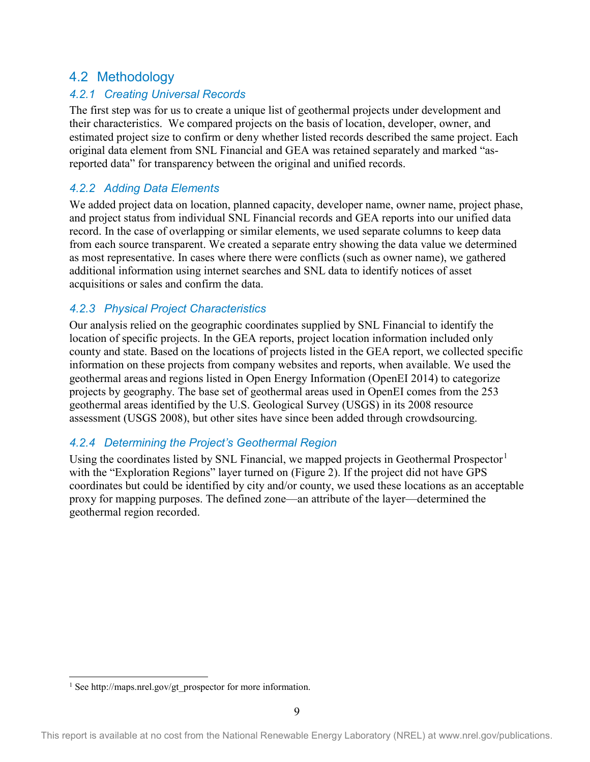## <span id="page-19-0"></span>4.2 Methodology

#### *4.2.1 Creating Universal Records*

The first step was for us to create a unique list of geothermal projects under development and their characteristics. We compared projects on the basis of location, developer, owner, and estimated project size to confirm or deny whether listed records described the same project. Each original data element from SNL Financial and GEA was retained separately and marked "asreported data" for transparency between the original and unified records.

#### *4.2.2 Adding Data Elements*

We added project data on location, planned capacity, developer name, owner name, project phase, and project status from individual SNL Financial records and GEA reports into our unified data record. In the case of overlapping or similar elements, we used separate columns to keep data from each source transparent. We created a separate entry showing the data value we determined as most representative. In cases where there were conflicts (such as owner name), we gathered additional information using internet searches and SNL data to identify notices of asset acquisitions or sales and confirm the data.

#### *4.2.3 Physical Project Characteristics*

Our analysis relied on the geographic coordinates supplied by SNL Financial to identify the location of specific projects. In the GEA reports, project location information included only county and state. Based on the locations of projects listed in the GEA report, we collected specific information on these projects from company websites and reports, when available. We used the geothermal areas and regions listed in Open Energy Information (OpenEI 2014) to categorize projects by geography. The base set of geothermal areas used in OpenEI comes from the 253 geothermal areas identified by the U.S. Geological Survey (USGS) in its 2008 resource assessment (USGS 2008), but other sites have since been added through crowdsourcing.

#### *4.2.4 Determining the Project's Geothermal Region*

Using the coordinates listed by SNL Financial, we mapped projects in Geothermal Prospector<sup>[1](#page-19-1)</sup> with the "Exploration Regions" layer turned on [\(Figure 2\)](#page-20-1). If the project did not have GPS coordinates but could be identified by city and/or county, we used these locations as an acceptable proxy for mapping purposes. The defined zone—an attribute of the layer—determined the geothermal region recorded.

<span id="page-19-1"></span><sup>&</sup>lt;sup>1</sup> Se[e http://maps.nrel.gov/gt\\_prospector](http://maps.nrel.gov/gt_prospector) for more information.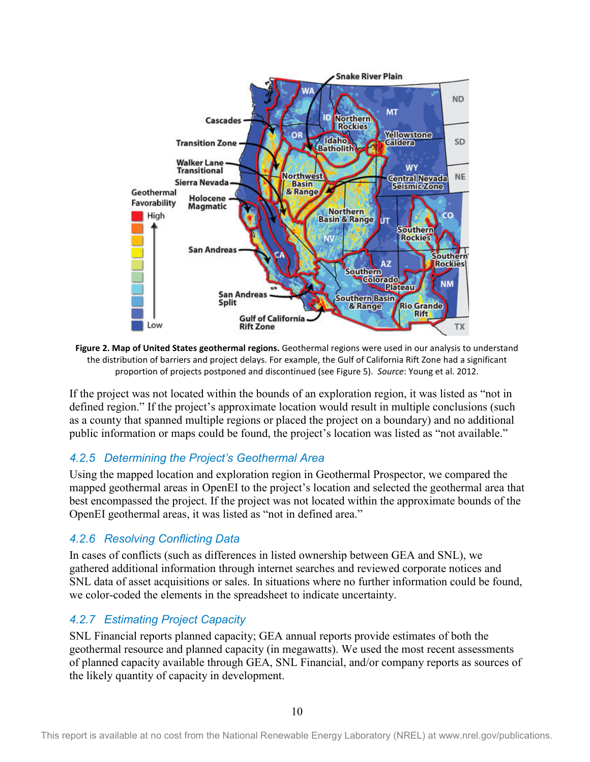<span id="page-20-1"></span>

<span id="page-20-0"></span>**Figure 2. Map of United States geothermal regions.** Geothermal regions were used in our analysis to understand the distribution of barriers and project delays. For example, the Gulf of California Rift Zone had a significant proportion of projects postponed and discontinued (see Figure 5). *Source*: Young et al. 2012.

If the project was not located within the bounds of an exploration region, it was listed as "not in defined region." If the project's approximate location would result in multiple conclusions (such as a county that spanned multiple regions or placed the project on a boundary) and no additional public information or maps could be found, the project's location was listed as "not available."

#### *4.2.5 Determining the Project's Geothermal Area*

Using the mapped location and exploration region in Geothermal Prospector, we compared the mapped geothermal areas in OpenEI to the project's location and selected the geothermal area that best encompassed the project. If the project was not located within the approximate bounds of the OpenEI geothermal areas, it was listed as "not in defined area."

#### *4.2.6 Resolving Conflicting Data*

In cases of conflicts (such as differences in listed ownership between GEA and SNL), we gathered additional information through internet searches and reviewed corporate notices and SNL data of asset acquisitions or sales. In situations where no further information could be found, we color-coded the elements in the spreadsheet to indicate uncertainty.

#### *4.2.7 Estimating Project Capacity*

SNL Financial reports planned capacity; GEA annual reports provide estimates of both the geothermal resource and planned capacity (in megawatts). We used the most recent assessments of planned capacity available through GEA, SNL Financial, and/or company reports as sources of the likely quantity of capacity in development.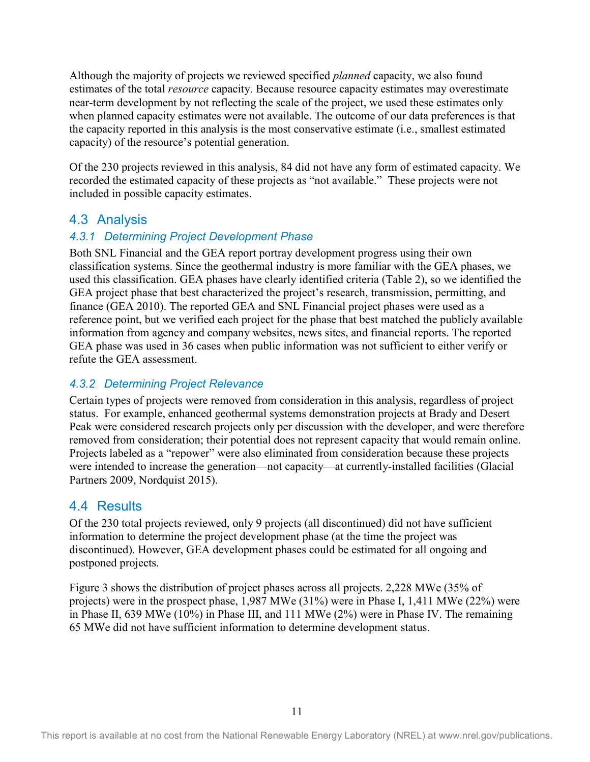Although the majority of projects we reviewed specified *planned* capacity, we also found estimates of the total *resource* capacity. Because resource capacity estimates may overestimate near-term development by not reflecting the scale of the project, we used these estimates only when planned capacity estimates were not available. The outcome of our data preferences is that the capacity reported in this analysis is the most conservative estimate (i.e., smallest estimated capacity) of the resource's potential generation.

Of the 230 projects reviewed in this analysis, 84 did not have any form of estimated capacity. We recorded the estimated capacity of these projects as "not available." These projects were not included in possible capacity estimates.

### <span id="page-21-0"></span>4.3 Analysis

#### *4.3.1 Determining Project Development Phase*

Both SNL Financial and the GEA report portray development progress using their own classification systems. Since the geothermal industry is more familiar with the GEA phases, we used this classification. GEA phases have clearly identified criteria [\(Table 2\)](#page-28-0), so we identified the GEA project phase that best characterized the project's research, transmission, permitting, and finance (GEA 2010). The reported GEA and SNL Financial project phases were used as a reference point, but we verified each project for the phase that best matched the publicly available information from agency and company websites, news sites, and financial reports. The reported GEA phase was used in 36 cases when public information was not sufficient to either verify or refute the GEA assessment.

#### *4.3.2 Determining Project Relevance*

Certain types of projects were removed from consideration in this analysis, regardless of project status. For example, enhanced geothermal systems demonstration projects at Brady and Desert Peak were considered research projects only per discussion with the developer, and were therefore removed from consideration; their potential does not represent capacity that would remain online. Projects labeled as a "repower" were also eliminated from consideration because these projects were intended to increase the generation—not capacity—at currently-installed facilities (Glacial Partners 2009, Nordquist 2015).

#### <span id="page-21-1"></span>4.4 Results

Of the 230 total projects reviewed, only 9 projects (all discontinued) did not have sufficient information to determine the project development phase (at the time the project was discontinued). However, GEA development phases could be estimated for all ongoing and postponed projects.

[Figure 3](#page-22-3) shows the distribution of project phases across all projects. 2,228 MWe (35% of projects) were in the prospect phase, 1,987 MWe (31%) were in Phase I, 1,411 MWe (22%) were in Phase II, 639 MWe (10%) in Phase III, and 111 MWe (2%) were in Phase IV. The remaining 65 MWe did not have sufficient information to determine development status.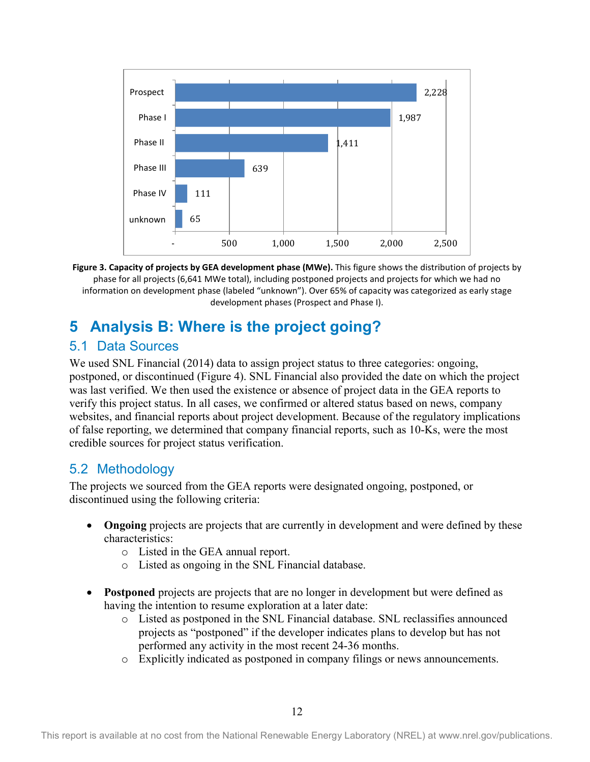

<span id="page-22-3"></span>**Figure 3. Capacity of projects by GEA development phase (MWe).** This figure shows the distribution of projects by phase for all projects (6,641 MWe total), including postponed projects and projects for which we had no information on development phase (labeled "unknown"). Over 65% of capacity was categorized as early stage development phases (Prospect and Phase I).

## <span id="page-22-0"></span>**5 Analysis B: Where is the project going?**

## <span id="page-22-1"></span>5.1 Data Sources

We used SNL Financial (2014) data to assign project status to three categories: ongoing, postponed, or discontinued [\(Figure 4](#page-24-0)). SNL Financial also provided the date on which the project was last verified. We then used the existence or absence of project data in the GEA reports to verify this project status. In all cases, we confirmed or altered status based on news, company websites, and financial reports about project development. Because of the regulatory implications of false reporting, we determined that company financial reports, such as 10-Ks, were the most credible sources for project status verification.

## <span id="page-22-2"></span>5.2 Methodology

The projects we sourced from the GEA reports were designated ongoing, postponed, or discontinued using the following criteria:

- **Ongoing** projects are projects that are currently in development and were defined by these characteristics:
	- o Listed in the GEA annual report.
	- o Listed as ongoing in the SNL Financial database.
- **Postponed** projects are projects that are no longer in development but were defined as having the intention to resume exploration at a later date:
	- o Listed as postponed in the SNL Financial database. SNL reclassifies announced projects as "postponed" if the developer indicates plans to develop but has not performed any activity in the most recent 24-36 months.
	- o Explicitly indicated as postponed in company filings or news announcements.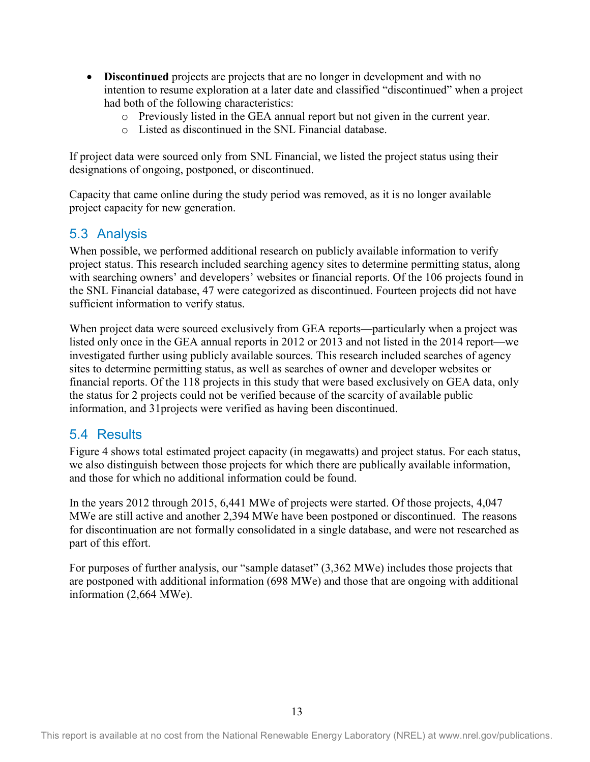- **Discontinued** projects are projects that are no longer in development and with no intention to resume exploration at a later date and classified "discontinued" when a project had both of the following characteristics:
	- o Previously listed in the GEA annual report but not given in the current year.
	- o Listed as discontinued in the SNL Financial database.

If project data were sourced only from SNL Financial, we listed the project status using their designations of ongoing, postponed, or discontinued.

Capacity that came online during the study period was removed, as it is no longer available project capacity for new generation.

### <span id="page-23-0"></span>5.3 Analysis

When possible, we performed additional research on publicly available information to verify project status. This research included searching agency sites to determine permitting status, along with searching owners' and developers' websites or financial reports. Of the 106 projects found in the SNL Financial database, 47 were categorized as discontinued. Fourteen projects did not have sufficient information to verify status.

When project data were sourced exclusively from GEA reports—particularly when a project was listed only once in the GEA annual reports in 2012 or 2013 and not listed in the 2014 report—we investigated further using publicly available sources. This research included searches of agency sites to determine permitting status, as well as searches of owner and developer websites or financial reports. Of the 118 projects in this study that were based exclusively on GEA data, only the status for 2 projects could not be verified because of the scarcity of available public information, and 31projects were verified as having been discontinued.

### <span id="page-23-1"></span>5.4 Results

[Figure 4](#page-24-0) shows total estimated project capacity (in megawatts) and project status. For each status, we also distinguish between those projects for which there are publically available information, and those for which no additional information could be found.

In the years 2012 through 2015, 6,441 MWe of projects were started. Of those projects, 4,047 MWe are still active and another 2,394 MWe have been postponed or discontinued. The reasons for discontinuation are not formally consolidated in a single database, and were not researched as part of this effort.

For purposes of further analysis, our "sample dataset" (3,362 MWe) includes those projects that are postponed with additional information (698 MWe) and those that are ongoing with additional information (2,664 MWe).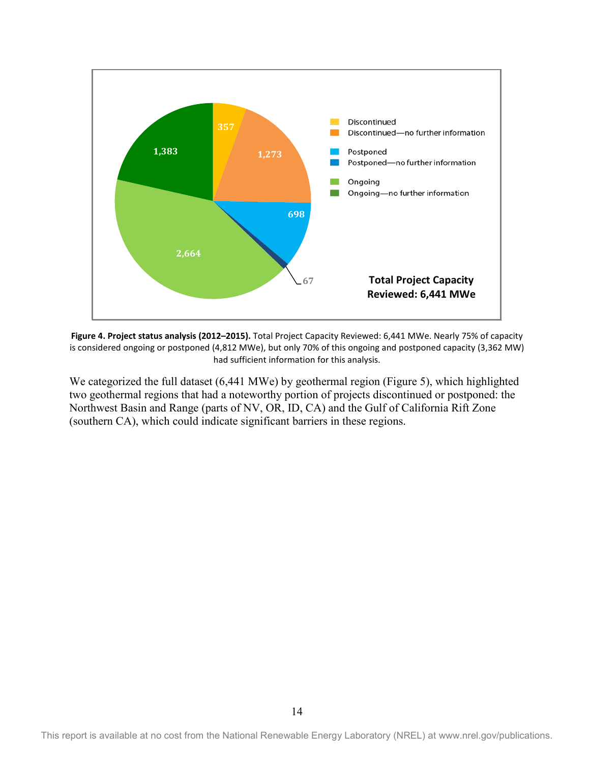

<span id="page-24-0"></span>**Figure 4. Project status analysis (2012–2015).** Total Project Capacity Reviewed: 6,441 MWe. Nearly 75% of capacity is considered ongoing or postponed (4,812 MWe), but only 70% of this ongoing and postponed capacity (3,362 MW) had sufficient information for this analysis.

We categorized the full dataset (6,441 MWe) by geothermal region [\(Figure 5](#page-25-3)), which highlighted two geothermal regions that had a noteworthy portion of projects discontinued or postponed: the Northwest Basin and Range (parts of NV, OR, ID, CA) and the Gulf of California Rift Zone (southern CA), which could indicate significant barriers in these regions.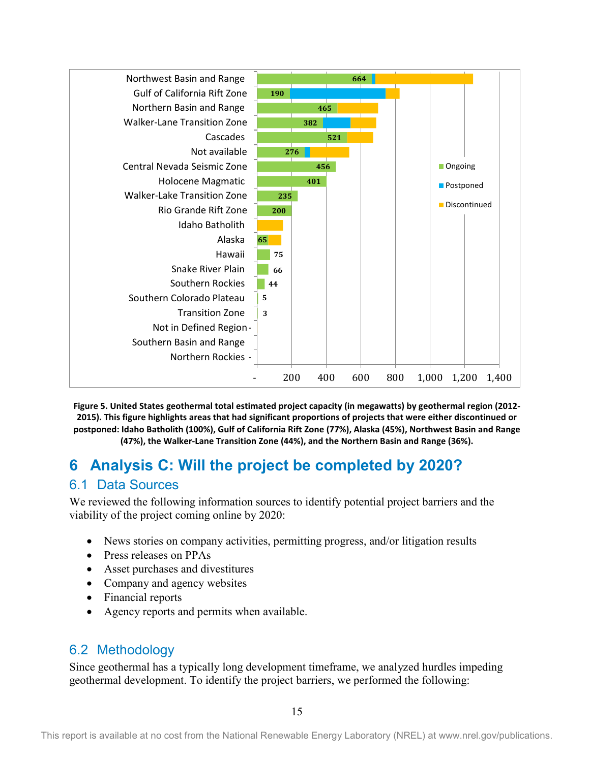

<span id="page-25-3"></span>**Figure 5. United States geothermal total estimated project capacity (in megawatts) by geothermal region (2012- 2015). This figure highlights areas that had significant proportions of projects that were either discontinued or postponed: Idaho Batholith (100%), Gulf of California Rift Zone (77%), Alaska (45%), Northwest Basin and Range (47%), the Walker-Lane Transition Zone (44%), and the Northern Basin and Range (36%).**

## <span id="page-25-0"></span>**6 Analysis C: Will the project be completed by 2020?**

## <span id="page-25-1"></span>6.1 Data Sources

We reviewed the following information sources to identify potential project barriers and the viability of the project coming online by 2020:

- News stories on company activities, permitting progress, and/or litigation results
- Press releases on PPAs
- Asset purchases and divestitures
- Company and agency websites
- Financial reports
- Agency reports and permits when available.

## <span id="page-25-2"></span>6.2 Methodology

Since geothermal has a typically long development timeframe, we analyzed hurdles impeding geothermal development. To identify the project barriers, we performed the following: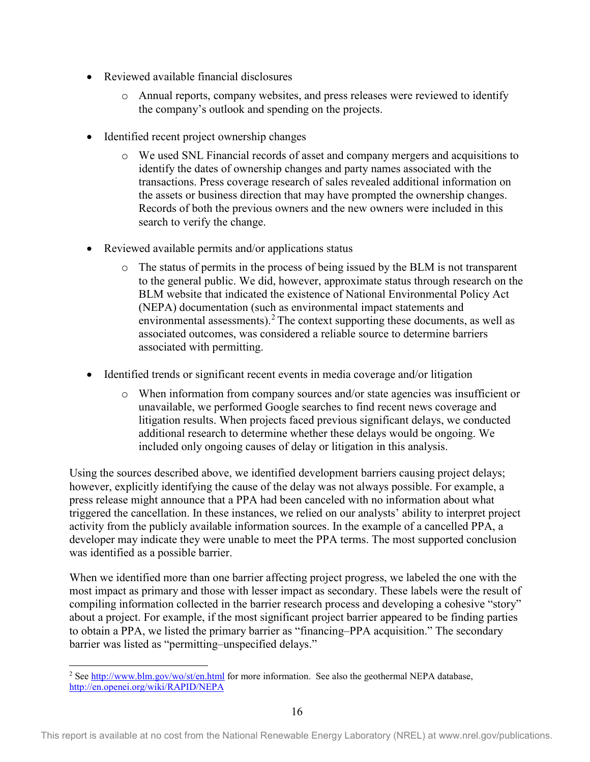- Reviewed available financial disclosures
	- o Annual reports, company websites, and press releases were reviewed to identify the company's outlook and spending on the projects.
- Identified recent project ownership changes
	- o We used SNL Financial records of asset and company mergers and acquisitions to identify the dates of ownership changes and party names associated with the transactions. Press coverage research of sales revealed additional information on the assets or business direction that may have prompted the ownership changes. Records of both the previous owners and the new owners were included in this search to verify the change.
- Reviewed available permits and/or applications status
	- o The status of permits in the process of being issued by the BLM is not transparent to the general public. We did, however, approximate status through research on the BLM website that indicated the existence of National Environmental Policy Act (NEPA) documentation (such as environmental impact statements and environmental assessments).<sup>[2](#page-26-0)</sup> The context supporting these documents, as well as associated outcomes, was considered a reliable source to determine barriers associated with permitting.
- Identified trends or significant recent events in media coverage and/or litigation
	- o When information from company sources and/or state agencies was insufficient or unavailable, we performed Google searches to find recent news coverage and litigation results. When projects faced previous significant delays, we conducted additional research to determine whether these delays would be ongoing. We included only ongoing causes of delay or litigation in this analysis.

Using the sources described above, we identified development barriers causing project delays; however, explicitly identifying the cause of the delay was not always possible. For example, a press release might announce that a PPA had been canceled with no information about what triggered the cancellation. In these instances, we relied on our analysts' ability to interpret project activity from the publicly available information sources. In the example of a cancelled PPA, a developer may indicate they were unable to meet the PPA terms. The most supported conclusion was identified as a possible barrier.

When we identified more than one barrier affecting project progress, we labeled the one with the most impact as primary and those with lesser impact as secondary. These labels were the result of compiling information collected in the barrier research process and developing a cohesive "story" about a project. For example, if the most significant project barrier appeared to be finding parties to obtain a PPA, we listed the primary barrier as "financing–PPA acquisition." The secondary barrier was listed as "permitting–unspecified delays."

<span id="page-26-0"></span><sup>&</sup>lt;sup>2</sup> Se[e http://www.blm.gov/wo/st/en.html](http://www.blm.gov/wo/st/en.html) for more information. See also the geothermal NEPA database, <http://en.openei.org/wiki/RAPID/NEPA>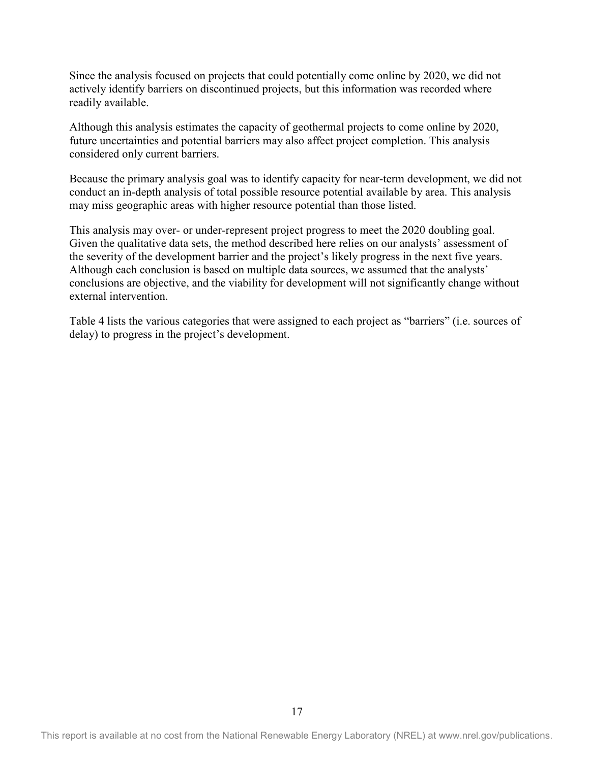Since the analysis focused on projects that could potentially come online by 2020, we did not actively identify barriers on discontinued projects, but this information was recorded where readily available.

Although this analysis estimates the capacity of geothermal projects to come online by 2020, future uncertainties and potential barriers may also affect project completion. This analysis considered only current barriers.

Because the primary analysis goal was to identify capacity for near-term development, we did not conduct an in-depth analysis of total possible resource potential available by area. This analysis may miss geographic areas with higher resource potential than those listed.

This analysis may over- or under-represent project progress to meet the 2020 doubling goal. Given the qualitative data sets, the method described here relies on our analysts' assessment of the severity of the development barrier and the project's likely progress in the next five years. Although each conclusion is based on multiple data sources, we assumed that the analysts' conclusions are objective, and the viability for development will not significantly change without external intervention.

Table 4 lists the various categories that were assigned to each project as "barriers" (i.e. sources of delay) to progress in the project's development.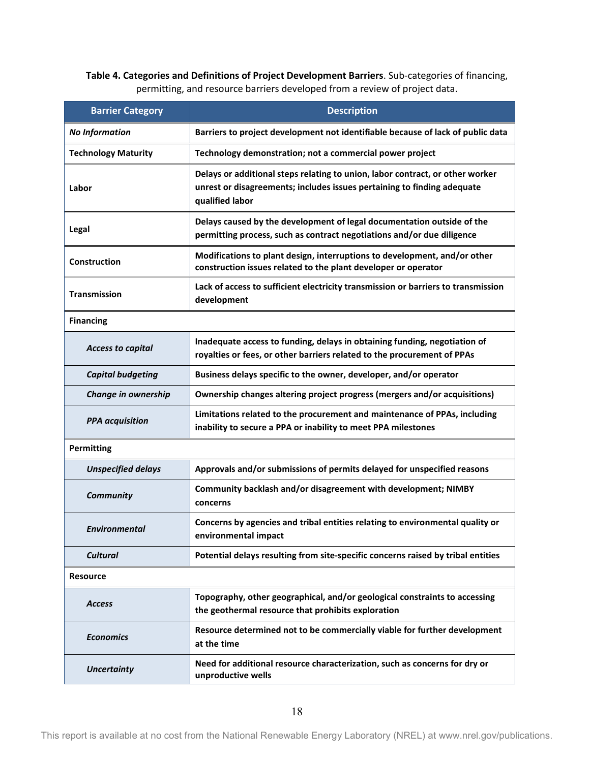<span id="page-28-0"></span>**Table 4. Categories and Definitions of Project Development Barriers**. Sub-categories of financing, permitting, and resource barriers developed from a review of project data.

| <b>Barrier Category</b>    | <b>Description</b>                                                                                                                                                          |  |  |
|----------------------------|-----------------------------------------------------------------------------------------------------------------------------------------------------------------------------|--|--|
| <b>No Information</b>      | Barriers to project development not identifiable because of lack of public data                                                                                             |  |  |
| <b>Technology Maturity</b> | Technology demonstration; not a commercial power project                                                                                                                    |  |  |
| Labor                      | Delays or additional steps relating to union, labor contract, or other worker<br>unrest or disagreements; includes issues pertaining to finding adequate<br>qualified labor |  |  |
| Legal                      | Delays caused by the development of legal documentation outside of the<br>permitting process, such as contract negotiations and/or due diligence                            |  |  |
| Construction               | Modifications to plant design, interruptions to development, and/or other<br>construction issues related to the plant developer or operator                                 |  |  |
| <b>Transmission</b>        | Lack of access to sufficient electricity transmission or barriers to transmission<br>development                                                                            |  |  |
| <b>Financing</b>           |                                                                                                                                                                             |  |  |
| <b>Access to capital</b>   | Inadequate access to funding, delays in obtaining funding, negotiation of<br>royalties or fees, or other barriers related to the procurement of PPAs                        |  |  |
| <b>Capital budgeting</b>   | Business delays specific to the owner, developer, and/or operator                                                                                                           |  |  |
| Change in ownership        | Ownership changes altering project progress (mergers and/or acquisitions)                                                                                                   |  |  |
| <b>PPA</b> acquisition     | Limitations related to the procurement and maintenance of PPAs, including<br>inability to secure a PPA or inability to meet PPA milestones                                  |  |  |
| <b>Permitting</b>          |                                                                                                                                                                             |  |  |
| <b>Unspecified delays</b>  | Approvals and/or submissions of permits delayed for unspecified reasons                                                                                                     |  |  |
| <b>Community</b>           | Community backlash and/or disagreement with development; NIMBY<br>concerns                                                                                                  |  |  |
| <b>Environmental</b>       | Concerns by agencies and tribal entities relating to environmental quality or<br>environmental impact                                                                       |  |  |
| <b>Cultural</b>            | Potential delays resulting from site-specific concerns raised by tribal entities                                                                                            |  |  |
| <b>Resource</b>            |                                                                                                                                                                             |  |  |
| <b>Access</b>              | Topography, other geographical, and/or geological constraints to accessing<br>the geothermal resource that prohibits exploration                                            |  |  |
| <b>Economics</b>           | Resource determined not to be commercially viable for further development<br>at the time                                                                                    |  |  |
| <b>Uncertainty</b>         | Need for additional resource characterization, such as concerns for dry or<br>unproductive wells                                                                            |  |  |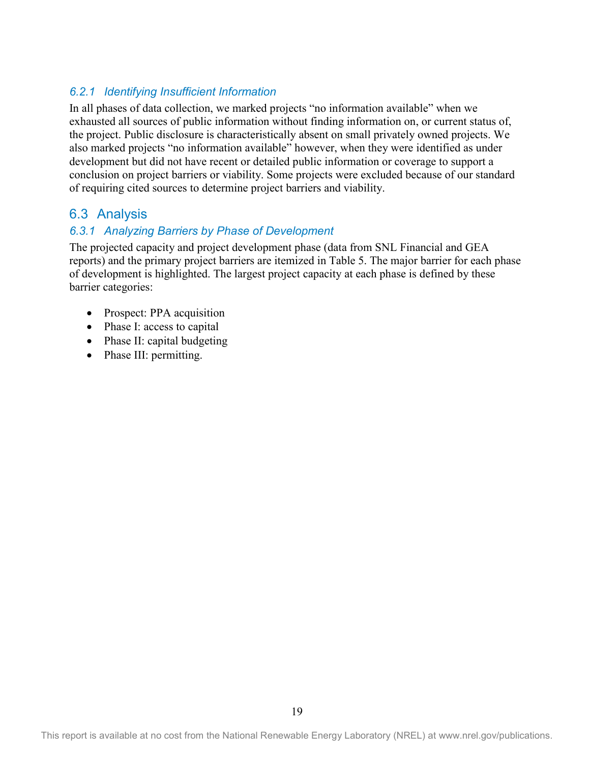#### *6.2.1 Identifying Insufficient Information*

In all phases of data collection, we marked projects "no information available" when we exhausted all sources of public information without finding information on, or current status of, the project. Public disclosure is characteristically absent on small privately owned projects. We also marked projects "no information available" however, when they were identified as under development but did not have recent or detailed public information or coverage to support a conclusion on project barriers or viability. Some projects were excluded because of our standard of requiring cited sources to determine project barriers and viability.

### <span id="page-29-0"></span>6.3 Analysis

#### *6.3.1 Analyzing Barriers by Phase of Development*

The projected capacity and project development phase (data from SNL Financial and GEA reports) and the primary project barriers are itemized in [Table 5](#page-30-0). The major barrier for each phase of development is highlighted. The largest project capacity at each phase is defined by these barrier categories:

- Prospect: PPA acquisition
- Phase I: access to capital
- Phase II: capital budgeting
- Phase III: permitting.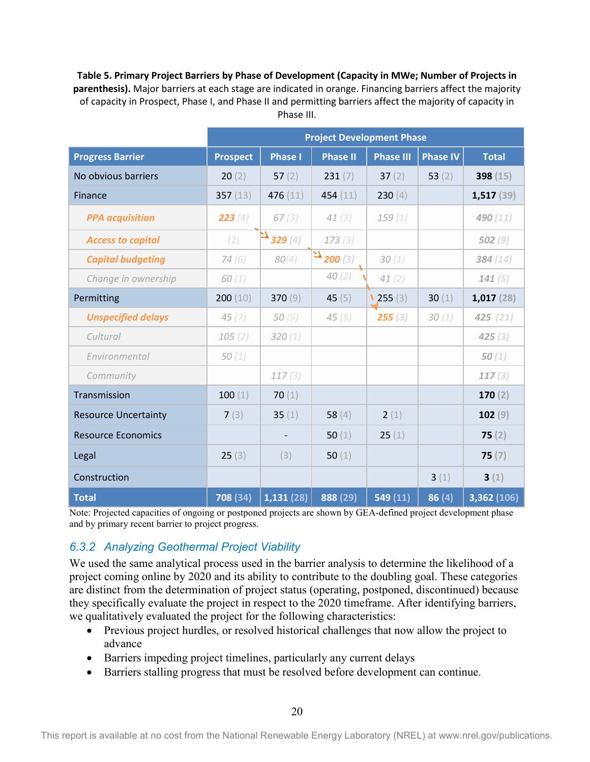<span id="page-30-0"></span>**Table 5. Primary Project Barriers by Phase of Development (Capacity in MWe; Number of Projects in parenthesis).** Major barriers at each stage are indicated in orange. Financing barriers affect the majority of capacity in Prospect, Phase I, and Phase II and permitting barriers affect the majority of capacity in Phase III.

|                             | <b>Project Development Phase</b> |                |                      |                  |                 |              |
|-----------------------------|----------------------------------|----------------|----------------------|------------------|-----------------|--------------|
| <b>Progress Barrier</b>     | <b>Prospect</b>                  | <b>Phase I</b> | <b>Phase II</b>      | <b>Phase III</b> | <b>Phase IV</b> | <b>Total</b> |
| No obvious barriers         | 20(2)                            | 57 $(2)$       | 231(7)               | 37 $(2)$         | 53 $(2)$        | 398 $(15)$   |
| Finance                     | 357 $(13)$                       | 476 $(11)$     | 454 $(11)$           | 230(4)           |                 | 1,517(39)    |
| <b>PPA</b> acquisition      | 223(4)                           | 67(3)          | 41(3)                | 159(1)           |                 | 490 (11)     |
| <b>Access to capital</b>    | (2)                              | $^{4}$ 329 (4) | 173(3)               |                  |                 | 502(9)       |
| <b>Capital budgeting</b>    | 74(6)                            | 80(4)          | $\mathbf{E}$ 200 (3) | 30(1)            |                 | 384(14)      |
| Change in ownership         | 60(1)                            |                | 40(2)                | 41(2)            |                 | 141(5)       |
| Permitting                  | 200(10)                          | 370 $(9)$      | 45 $(5)$             | $\sqrt{255}$ (3) | 30 $(1)$        | 1,017(28)    |
| <b>Unspecified delays</b>   | 45(7)                            | 50 $(5)$       | 45(5)                | 255(3)           | 30(1)           | 425(21)      |
| Cultural                    | 105(2)                           | 320(1)         |                      |                  |                 | 425(3)       |
| Environmental               | 50(1)                            |                |                      |                  |                 | 50 $(1)$     |
| Community                   |                                  | 117(3)         |                      |                  |                 | 117(3)       |
| Transmission                | 100(1)                           | 70 $(1)$       |                      |                  |                 | 170(2)       |
| <b>Resource Uncertainty</b> | 7(3)                             | 35 $(1)$       | 58 $(4)$             | 2(1)             |                 | 102(9)       |
| <b>Resource Economics</b>   |                                  |                | 50 $(1)$             | 25(1)            |                 | 75(2)        |
| Legal                       | 25(3)                            | (3)            | 50 $(1)$             |                  |                 | 75(7)        |
| Construction                |                                  |                |                      |                  | 3(1)            | 3(1)         |
| <b>Total</b>                | 708 (34)                         | 1,131(28)      | 888 (29)             | 549 (11)         | 86(4)           | 3,362 (106)  |

Note: Projected capacities of ongoing or postponed projects are shown by GEA-defined project development phase and by primary recent barrier to project progress.

#### *6.3.2 Analyzing Geothermal Project Viability*

We used the same analytical process used in the barrier analysis to determine the likelihood of a project coming online by 2020 and its ability to contribute to the doubling goal. These categories are distinct from the determination of project status (operating, postponed, discontinued) because they specifically evaluate the project in respect to the 2020 timeframe. After identifying barriers, we qualitatively evaluated the project for the following characteristics:

- Previous project hurdles, or resolved historical challenges that now allow the project to advance
- Barriers impeding project timelines, particularly any current delays
- Barriers stalling progress that must be resolved before development can continue.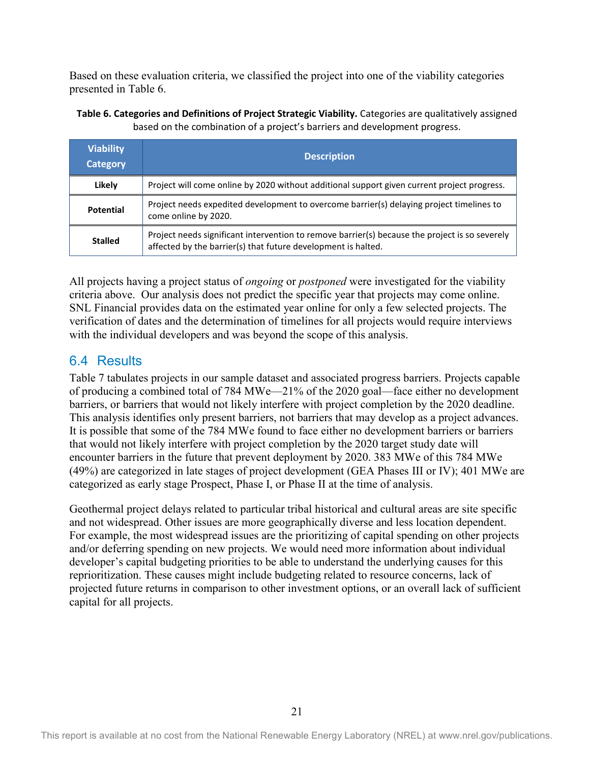Based on these evaluation criteria, we classified the project into one of the viability categories presented in [Table 6](#page-31-1).

<span id="page-31-1"></span>**Table 6. Categories and Definitions of Project Strategic Viability.** Categories are qualitatively assigned based on the combination of a project's barriers and development progress.

| <b>Viability</b><br>Category | <b>Description</b>                                                                                                                                              |
|------------------------------|-----------------------------------------------------------------------------------------------------------------------------------------------------------------|
| Likely                       | Project will come online by 2020 without additional support given current project progress.                                                                     |
| <b>Potential</b>             | Project needs expedited development to overcome barrier(s) delaying project timelines to<br>come online by 2020.                                                |
| <b>Stalled</b>               | Project needs significant intervention to remove barrier(s) because the project is so severely<br>affected by the barrier(s) that future development is halted. |

All projects having a project status of *ongoing* or *postponed* were investigated for the viability criteria above. Our analysis does not predict the specific year that projects may come online. SNL Financial provides data on the estimated year online for only a few selected projects. The verification of dates and the determination of timelines for all projects would require interviews with the individual developers and was beyond the scope of this analysis.

### <span id="page-31-0"></span>6.4 Results

[Table 7](#page-32-0) tabulates projects in our sample dataset and associated progress barriers. Projects capable of producing a combined total of 784 MWe—21% of the 2020 goal—face either no development barriers, or barriers that would not likely interfere with project completion by the 2020 deadline. This analysis identifies only present barriers, not barriers that may develop as a project advances. It is possible that some of the 784 MWe found to face either no development barriers or barriers that would not likely interfere with project completion by the 2020 target study date will encounter barriers in the future that prevent deployment by 2020. 383 MWe of this 784 MWe (49%) are categorized in late stages of project development (GEA Phases III or IV); 401 MWe are categorized as early stage Prospect, Phase I, or Phase II at the time of analysis.

Geothermal project delays related to particular tribal historical and cultural areas are site specific and not widespread. Other issues are more geographically diverse and less location dependent. For example, the most widespread issues are the prioritizing of capital spending on other projects and/or deferring spending on new projects. We would need more information about individual developer's capital budgeting priorities to be able to understand the underlying causes for this reprioritization. These causes might include budgeting related to resource concerns, lack of projected future returns in comparison to other investment options, or an overall lack of sufficient capital for all projects.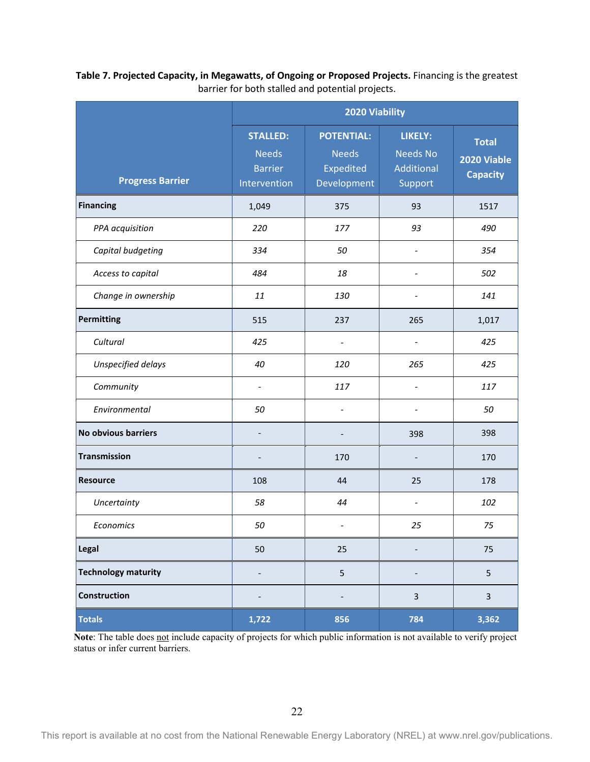|                            | 2020 Viability                                                    |                                                               |                                                            |                                                |
|----------------------------|-------------------------------------------------------------------|---------------------------------------------------------------|------------------------------------------------------------|------------------------------------------------|
| <b>Progress Barrier</b>    | <b>STALLED:</b><br><b>Needs</b><br><b>Barrier</b><br>Intervention | <b>POTENTIAL:</b><br><b>Needs</b><br>Expedited<br>Development | <b>LIKELY:</b><br><b>Needs No</b><br>Additional<br>Support | <b>Total</b><br>2020 Viable<br><b>Capacity</b> |
| <b>Financing</b>           | 1,049                                                             | 375                                                           | 93                                                         | 1517                                           |
| PPA acquisition            | 220                                                               | 177                                                           | 93                                                         | 490                                            |
| Capital budgeting          | 334                                                               | 50                                                            | $\overline{\phantom{a}}$                                   | 354                                            |
| Access to capital          | 484                                                               | 18                                                            | $\overline{\phantom{0}}$                                   | 502                                            |
| Change in ownership        | 11                                                                | 130                                                           | $\overline{\phantom{0}}$                                   | 141                                            |
| <b>Permitting</b>          | 515                                                               | 237                                                           | 265                                                        | 1,017                                          |
| Cultural                   | 425                                                               | $\overline{\phantom{0}}$                                      | $\overline{\phantom{0}}$                                   | 425                                            |
| Unspecified delays         | 40                                                                | 120                                                           | 265                                                        | 425                                            |
| Community                  | $\overline{\phantom{a}}$                                          | 117                                                           | $\overline{\phantom{0}}$                                   | 117                                            |
| Environmental              | 50                                                                | $\overline{\phantom{0}}$                                      | $\overline{\phantom{0}}$                                   | 50                                             |
| No obvious barriers        | $\qquad \qquad \blacksquare$                                      | $\overline{\phantom{0}}$                                      | 398                                                        | 398                                            |
| <b>Transmission</b>        | $\overline{\phantom{a}}$                                          | 170                                                           | -                                                          | 170                                            |
| <b>Resource</b>            | 108                                                               | 44                                                            | 25                                                         | 178                                            |
| Uncertainty                | 58                                                                | 44                                                            | $\overline{a}$                                             | 102                                            |
| Economics                  | 50                                                                | $\overline{\phantom{a}}$                                      | 25                                                         | 75                                             |
| Legal                      | 50                                                                | 25                                                            |                                                            | 75                                             |
| <b>Technology maturity</b> | -                                                                 | 5                                                             |                                                            | 5                                              |
| Construction               | -                                                                 |                                                               | $\mathbf{3}$                                               | $\overline{3}$                                 |
| <b>Totals</b>              | 1,722                                                             | 856                                                           | 784                                                        | 3,362                                          |

<span id="page-32-0"></span>**Table 7. Projected Capacity, in Megawatts, of Ongoing or Proposed Projects.** Financing is the greatest barrier for both stalled and potential projects.

Note: The table does not include capacity of projects for which public information is not available to verify project status or infer current barriers.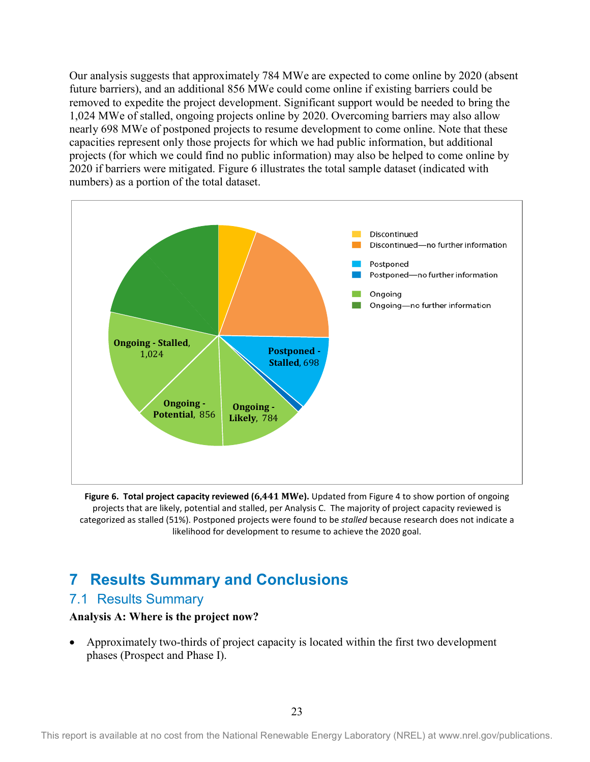Our analysis suggests that approximately 784 MWe are expected to come online by 2020 (absent future barriers), and an additional 856 MWe could come online if existing barriers could be removed to expedite the project development. Significant support would be needed to bring the 1,024 MWe of stalled, ongoing projects online by 2020. Overcoming barriers may also allow nearly 698 MWe of postponed projects to resume development to come online. Note that these capacities represent only those projects for which we had public information, but additional projects (for which we could find no public information) may also be helped to come online by 2020 if barriers were mitigated. [Figure 6](#page-33-3) illustrates the total sample dataset (indicated with numbers) as a portion of the total dataset.

<span id="page-33-3"></span>

<span id="page-33-2"></span>**Figure 6. Total project capacity reviewed (6,441 MWe).** Updated from Figure 4 to show portion of ongoing projects that are likely, potential and stalled, per Analysis C. The majority of project capacity reviewed is categorized as stalled (51%). Postponed projects were found to be *stalled* because research does not indicate a likelihood for development to resume to achieve the 2020 goal.

## <span id="page-33-0"></span>**7 Results Summary and Conclusions**

### <span id="page-33-1"></span>7.1 Results Summary

#### **Analysis A: Where is the project now?**

• Approximately two-thirds of project capacity is located within the first two development phases (Prospect and Phase I).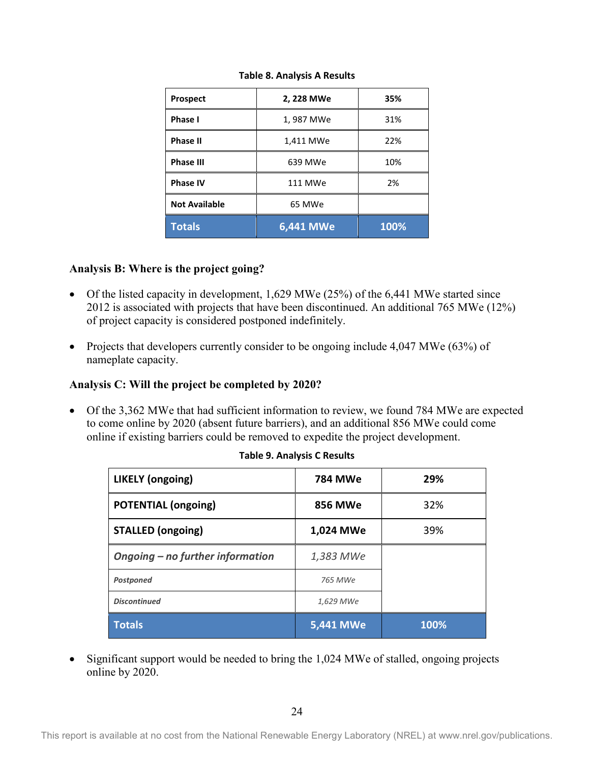<span id="page-34-0"></span>

| <b>Prospect</b>      | 2, 228 MWe | 35%  |
|----------------------|------------|------|
| Phase I              | 1,987 MWe  | 31%  |
| <b>Phase II</b>      | 1,411 MWe  | 22%  |
| <b>Phase III</b>     | 639 MWe    | 10%  |
| <b>Phase IV</b>      | 111 MWe    | 2%   |
| <b>Not Available</b> | 65 MWe     |      |
| <b>Totals</b>        | 6,441 MWe  | 100% |

**Table 8. Analysis A Results**

#### **Analysis B: Where is the project going?**

- Of the listed capacity in development, 1,629 MWe (25%) of the 6,441 MWe started since 2012 is associated with projects that have been discontinued. An additional 765 MWe (12%) of project capacity is considered postponed indefinitely.
- Projects that developers currently consider to be ongoing include 4,047 MWe (63%) of nameplate capacity.

#### **Analysis C: Will the project be completed by 2020?**

<span id="page-34-1"></span>• Of the 3,362 MWe that had sufficient information to review, we found 784 MWe are expected to come online by 2020 (absent future barriers), and an additional 856 MWe could come online if existing barriers could be removed to expedite the project development.

| <b>LIKELY</b> (ongoing)          | <b>784 MWe</b> | 29%  |  |
|----------------------------------|----------------|------|--|
| <b>POTENTIAL (ongoing)</b>       | <b>856 MWe</b> | 32%  |  |
| <b>STALLED (ongoing)</b>         | 1,024 MWe      | 39%  |  |
| Ongoing – no further information | 1,383 MWe      |      |  |
| Postponed                        | 765 MWe        |      |  |
| <b>Discontinued</b>              | 1,629 MWe      |      |  |
| <b>Totals</b>                    | 5,441 MWe      | 100% |  |

|  |  |  |  |  | <b>Table 9. Analysis C Results</b> |
|--|--|--|--|--|------------------------------------|
|--|--|--|--|--|------------------------------------|

• Significant support would be needed to bring the 1,024 MWe of stalled, ongoing projects online by 2020.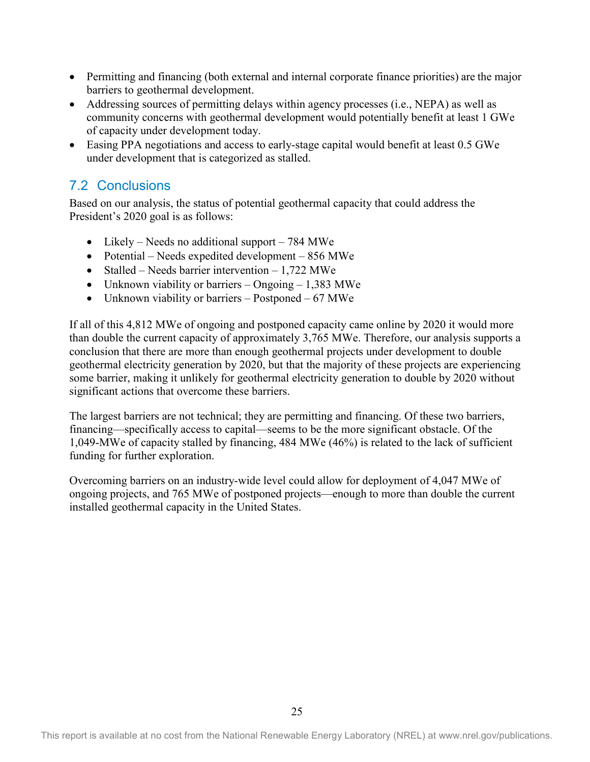- Permitting and financing (both external and internal corporate finance priorities) are the major barriers to geothermal development.
- Addressing sources of permitting delays within agency processes (i.e., NEPA) as well as community concerns with geothermal development would potentially benefit at least 1 GWe of capacity under development today.
- Easing PPA negotiations and access to early-stage capital would benefit at least 0.5 GWe under development that is categorized as stalled.

## <span id="page-35-0"></span>7.2 Conclusions

Based on our analysis, the status of potential geothermal capacity that could address the President's 2020 goal is as follows:

- Likely Needs no additional support 784 MWe
- Potential Needs expedited development 856 MWe
- Stalled Needs barrier intervention  $1,722$  MWe
- Unknown viability or barriers Ongoing 1,383 MWe
- Unknown viability or barriers Postponed 67 MWe

If all of this 4,812 MWe of ongoing and postponed capacity came online by 2020 it would more than double the current capacity of approximately 3,765 MWe. Therefore, our analysis supports a conclusion that there are more than enough geothermal projects under development to double geothermal electricity generation by 2020, but that the majority of these projects are experiencing some barrier, making it unlikely for geothermal electricity generation to double by 2020 without significant actions that overcome these barriers.

The largest barriers are not technical; they are permitting and financing. Of these two barriers, financing—specifically access to capital—seems to be the more significant obstacle. Of the 1,049-MWe of capacity stalled by financing, 484 MWe (46%) is related to the lack of sufficient funding for further exploration.

Overcoming barriers on an industry-wide level could allow for deployment of 4,047 MWe of ongoing projects, and 765 MWe of postponed projects—enough to more than double the current installed geothermal capacity in the United States.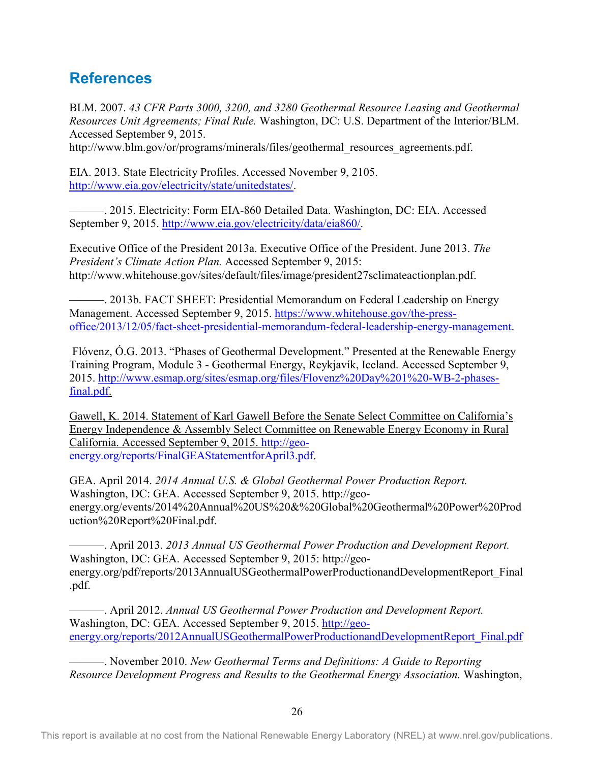## <span id="page-36-0"></span>**References**

BLM. 2007. *43 CFR Parts 3000, 3200, and 3280 Geothermal Resource Leasing and Geothermal Resources Unit Agreements; Final Rule.* Washington, DC: U.S. Department of the Interior/BLM. Accessed September 9, 2015.

http://www.blm.gov/or/programs/minerals/files/geothermal\_resources\_agreements.pdf.

EIA. 2013. State Electricity Profiles. Accessed November 9, 2105. [http://www.eia.gov/electricity/state/unitedstates/.](http://www.eia.gov/electricity/state/unitedstates/)

———. 2015. Electricity: Form EIA-860 Detailed Data. Washington, DC: EIA. Accessed September 9, 2015. [http://www.eia.gov/electricity/data/eia860/.](http://www.eia.gov/electricity/data/eia860/)

Executive Office of the President 2013a. Executive Office of the President. June 2013. *The President's Climate Action Plan.* Accessed September 9, 2015: [http://www.whitehouse.gov/sites/default/files/image/president27sclimateactionplan.pdf.](http://www.whitehouse.gov/sites/default/files/image/president27sclimateactionplan.pdf)

———. 2013b. FACT SHEET: Presidential Memorandum on Federal Leadership on Energy Management. Accessed September 9, 2015. [https://www.whitehouse.gov/the-press](https://www.whitehouse.gov/the-press-office/2013/12/05/fact-sheet-presidential-memorandum-federal-leadership-energy-management)[office/2013/12/05/fact-sheet-presidential-memorandum-federal-leadership-energy-management.](https://www.whitehouse.gov/the-press-office/2013/12/05/fact-sheet-presidential-memorandum-federal-leadership-energy-management)

Flóvenz, Ó.G. 2013. "Phases of Geothermal Development." Presented at the Renewable Energy Training Program, Module 3 - Geothermal Energy, Reykjavík, Iceland. Accessed September 9, 2015. [http://www.esmap.org/sites/esmap.org/files/Flovenz%20Day%201%20-WB-2-phases](http://www.esmap.org/sites/esmap.org/files/Flovenz%20Day%201%20-WB-2-phases-final.pdf)[final.pdf.](http://www.esmap.org/sites/esmap.org/files/Flovenz%20Day%201%20-WB-2-phases-final.pdf)

Gawell, K. 2014. Statement of Karl Gawell Before the Senate Select Committee on California's Energy Independence & Assembly Select Committee on Renewable Energy Economy in Rural California. Accessed September 9, 2015. [http://geo](http://geo-energy.org/reports/FinalGEAStatementforApril3.pdf)[energy.org/reports/FinalGEAStatementforApril3.pdf.](http://geo-energy.org/reports/FinalGEAStatementforApril3.pdf)

GEA. April 2014. *2014 Annual U.S. & Global Geothermal Power Production Report.* Washington, DC: GEA. Accessed September 9, 2015. http://geoenergy.org/events/2014%20Annual%20US%20&%20Global%20Geothermal%20Power%20Prod uction%20Report%20Final.pdf.

———. April 2013. *2013 Annual US Geothermal Power Production and Development Report.* Washington, DC: GEA. Accessed September 9, 2015: http://geoenergy.org/pdf/reports/2013AnnualUSGeothermalPowerProductionandDevelopmentReport\_Final .pdf.

———. April 2012. *Annual US Geothermal Power Production and Development Report.* Washington, DC: GEA. Accessed September 9, 2015. [http://geo](http://geo-energy.org/reports/2012AnnualUSGeothermalPowerProductionandDevelopmentReport_Final.pdf)[energy.org/reports/2012AnnualUSGeothermalPowerProductionandDevelopmentReport\\_Final.pdf](http://geo-energy.org/reports/2012AnnualUSGeothermalPowerProductionandDevelopmentReport_Final.pdf)

———. November 2010. *New Geothermal Terms and Definitions: A Guide to Reporting Resource Development Progress and Results to the Geothermal Energy Association.* Washington,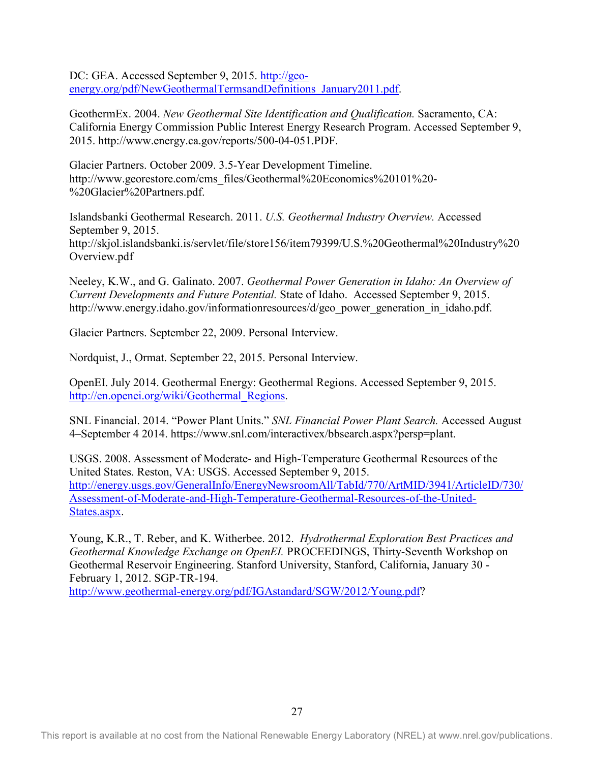DC: GEA. Accessed September 9, 2015. [http://geo](http://geo-energy.org/pdf/NewGeothermalTermsandDefinitions_January2011.pdf)[energy.org/pdf/NewGeothermalTermsandDefinitions\\_January2011.pdf.](http://geo-energy.org/pdf/NewGeothermalTermsandDefinitions_January2011.pdf)

GeothermEx. 2004. *New Geothermal Site Identification and Qualification.* Sacramento, CA: California Energy Commission Public Interest Energy Research Program. Accessed September 9, 2015. http://www.energy.ca.gov/reports/500-04-051.PDF.

Glacier Partners. October 2009. 3.5-Year Development Timeline. http://www.georestore.com/cms\_files/Geothermal%20Economics%20101%20- %20Glacier%20Partners.pdf.

Islandsbanki Geothermal Research. 2011. *U.S. Geothermal Industry Overview.* Accessed September 9, 2015. http://skjol.islandsbanki.is/servlet/file/store156/item79399/U.S.%20Geothermal%20Industry%20 Overview.pdf

Neeley, K.W., and G. Galinato. 2007. *Geothermal Power Generation in Idaho: An Overview of Current Developments and Future Potential.* State of Idaho. Accessed September 9, 2015. http://www.energy.idaho.gov/informationresources/d/geo\_power\_generation\_in\_idaho.pdf.

Glacier Partners. September 22, 2009. Personal Interview.

Nordquist, J., Ormat. September 22, 2015. Personal Interview.

OpenEI. July 2014. Geothermal Energy: Geothermal Regions. Accessed September 9, 2015. [http://en.openei.org/wiki/Geothermal\\_Regions.](http://en.openei.org/wiki/Geothermal_Regions)

SNL Financial. 2014. "Power Plant Units." *SNL Financial Power Plant Search.* Accessed August 4–September 4 2014. [https://www.snl.com/interactivex/bbsearch.aspx?persp=plant.](https://www.snl.com/interactivex/bbsearch.aspx?persp=plant)

USGS. 2008. Assessment of Moderate- and High-Temperature Geothermal Resources of the United States. Reston, VA: USGS. Accessed September 9, 2015. [http://energy.usgs.gov/GeneralInfo/EnergyNewsroomAll/TabId/770/ArtMID/3941/ArticleID/730/](http://energy.usgs.gov/GeneralInfo/EnergyNewsroomAll/TabId/770/ArtMID/3941/ArticleID/730/Assessment-of-Moderate-and-High-Temperature-Geothermal-Resources-of-the-United-States.aspx) [Assessment-of-Moderate-and-High-Temperature-Geothermal-Resources-of-the-United-](http://energy.usgs.gov/GeneralInfo/EnergyNewsroomAll/TabId/770/ArtMID/3941/ArticleID/730/Assessment-of-Moderate-and-High-Temperature-Geothermal-Resources-of-the-United-States.aspx)[States.aspx.](http://energy.usgs.gov/GeneralInfo/EnergyNewsroomAll/TabId/770/ArtMID/3941/ArticleID/730/Assessment-of-Moderate-and-High-Temperature-Geothermal-Resources-of-the-United-States.aspx)

Young, K.R., T. Reber, and K. Witherbee. 2012. *Hydrothermal Exploration Best Practices and Geothermal Knowledge Exchange on OpenEI.* PROCEEDINGS, Thirty-Seventh Workshop on Geothermal Reservoir Engineering. Stanford University, Stanford, California, January 30 - February 1, 2012. SGP-TR-194.

[http://www.geothermal-energy.org/pdf/IGAstandard/SGW/2012/Young.pdf?](http://www.geothermal-energy.org/pdf/IGAstandard/SGW/2012/Young.pdf)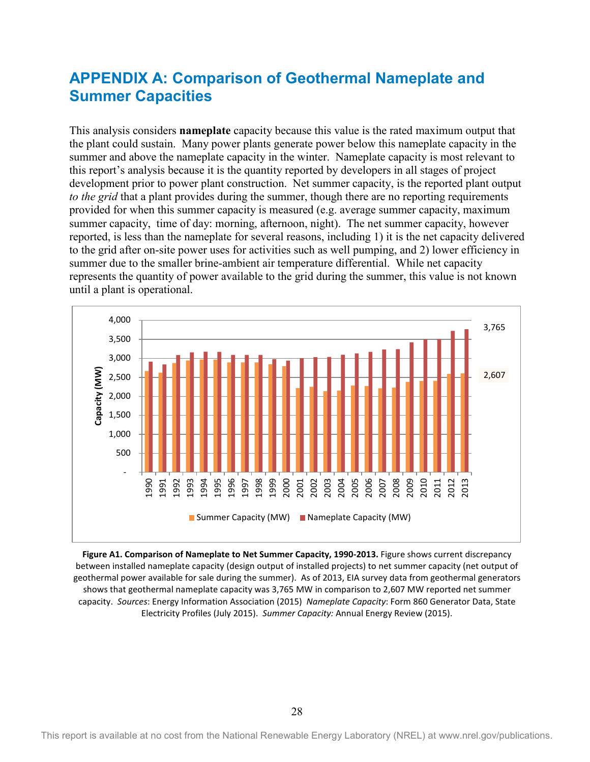## <span id="page-38-0"></span>**APPENDIX A: Comparison of Geothermal Nameplate and Summer Capacities**

This analysis considers **nameplate** capacity because this value is the rated maximum output that the plant could sustain. Many power plants generate power below this nameplate capacity in the summer and above the nameplate capacity in the winter. Nameplate capacity is most relevant to this report's analysis because it is the quantity reported by developers in all stages of project development prior to power plant construction. Net summer capacity, is the reported plant output *to the grid* that a plant provides during the summer, though there are no reporting requirements provided for when this summer capacity is measured (e.g. average summer capacity, maximum summer capacity, time of day: morning, afternoon, night). The net summer capacity, however reported, is less than the nameplate for several reasons, including 1) it is the net capacity delivered to the grid after on-site power uses for activities such as well pumping, and 2) lower efficiency in summer due to the smaller brine-ambient air temperature differential. While net capacity represents the quantity of power available to the grid during the summer, this value is not known until a plant is operational.



<span id="page-38-1"></span>**Figure A1. Comparison of Nameplate to Net Summer Capacity, 1990-2013.** Figure shows current discrepancy between installed nameplate capacity (design output of installed projects) to net summer capacity (net output of geothermal power available for sale during the summer). As of 2013, EIA survey data from geothermal generators shows that geothermal nameplate capacity was 3,765 MW in comparison to 2,607 MW reported net summer capacity. *Sources*: Energy Information Association (2015) *Nameplate Capacity*: Form 860 Generator Data, State Electricity Profiles (July 2015). *Summer Capacity:* Annual Energy Review (2015).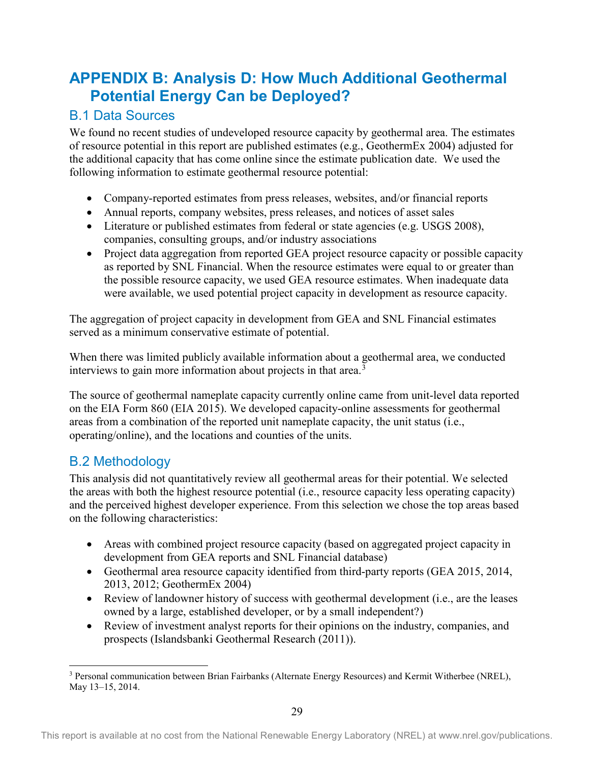## <span id="page-39-0"></span>**APPENDIX B: Analysis D: How Much Additional Geothermal Potential Energy Can be Deployed?**

## <span id="page-39-1"></span>B.1 Data Sources

We found no recent studies of undeveloped resource capacity by geothermal area. The estimates of resource potential in this report are published estimates (e.g., GeothermEx 2004) adjusted for the additional capacity that has come online since the estimate publication date. We used the following information to estimate geothermal resource potential:

- Company-reported estimates from press releases, websites, and/or financial reports
- Annual reports, company websites, press releases, and notices of asset sales
- Literature or published estimates from federal or state agencies (e.g. USGS 2008), companies, consulting groups, and/or industry associations
- Project data aggregation from reported GEA project resource capacity or possible capacity as reported by SNL Financial. When the resource estimates were equal to or greater than the possible resource capacity, we used GEA resource estimates. When inadequate data were available, we used potential project capacity in development as resource capacity.

The aggregation of project capacity in development from GEA and SNL Financial estimates served as a minimum conservative estimate of potential.

When there was limited publicly available information about a geothermal area, we conducted interviews to gain more information about projects in that area.<sup>[3](#page-39-3)</sup>

The source of geothermal nameplate capacity currently online came from unit-level data reported on the EIA Form 860 (EIA 2015). We developed capacity-online assessments for geothermal areas from a combination of the reported unit nameplate capacity, the unit status (i.e., operating/online), and the locations and counties of the units.

## <span id="page-39-2"></span>B.2 Methodology

This analysis did not quantitatively review all geothermal areas for their potential. We selected the areas with both the highest resource potential (i.e., resource capacity less operating capacity) and the perceived highest developer experience. From this selection we chose the top areas based on the following characteristics:

- Areas with combined project resource capacity (based on aggregated project capacity in development from GEA reports and SNL Financial database)
- Geothermal area resource capacity identified from third-party reports (GEA 2015, 2014, 2013, 2012; GeothermEx 2004)
- Review of landowner history of success with geothermal development (i.e., are the leases owned by a large, established developer, or by a small independent?)
- Review of investment analyst reports for their opinions on the industry, companies, and prospects (Islandsbanki Geothermal Research (2011)).

<span id="page-39-3"></span><sup>3</sup> Personal communication between Brian Fairbanks (Alternate Energy Resources) and Kermit Witherbee (NREL), May 13–15, 2014.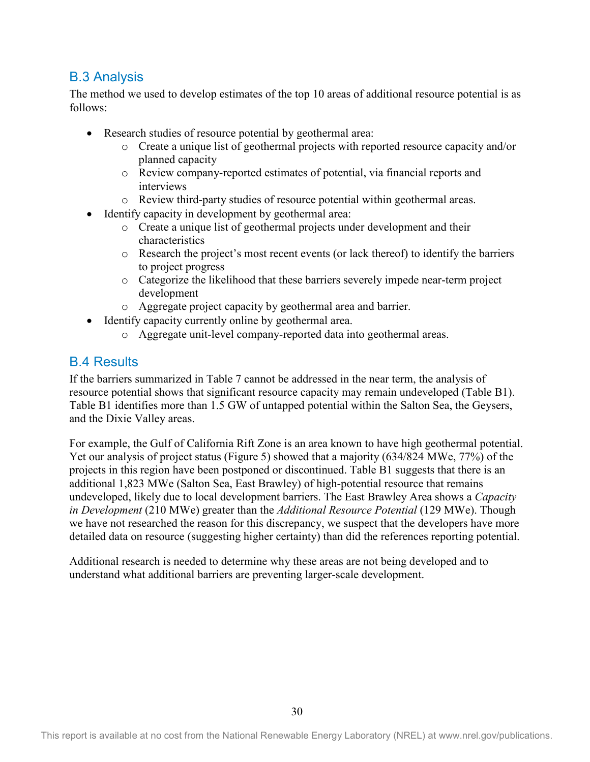### <span id="page-40-0"></span>B.3 Analysis

The method we used to develop estimates of the top 10 areas of additional resource potential is as follows:

- Research studies of resource potential by geothermal area:
	- o Create a unique list of geothermal projects with reported resource capacity and/or planned capacity
	- o Review company-reported estimates of potential, via financial reports and interviews
	- o Review third-party studies of resource potential within geothermal areas.
- Identify capacity in development by geothermal area:
	- o Create a unique list of geothermal projects under development and their characteristics
	- o Research the project's most recent events (or lack thereof) to identify the barriers to project progress
	- o Categorize the likelihood that these barriers severely impede near-term project development
	- o Aggregate project capacity by geothermal area and barrier.
- Identify capacity currently online by geothermal area.
	- o Aggregate unit-level company-reported data into geothermal areas.

### <span id="page-40-1"></span>B.4 Results

If the barriers summarized in [Table 7](#page-32-0) cannot be addressed in the near term, the analysis of resource potential shows that significant resource capacity may remain undeveloped (Table B1). Table B1 identifies more than 1.5 GW of untapped potential within the Salton Sea, the Geysers, and the Dixie Valley areas.

For example, the Gulf of California Rift Zone is an area known to have high geothermal potential. Yet our analysis of project status [\(Figure](#page-25-3) 5) showed that a majority (634/824 MWe, 77%) of the projects in this region have been postponed or discontinued. [Table B](#page-41-0)1 suggests that there is an additional 1,823 MWe (Salton Sea, East Brawley) of high-potential resource that remains undeveloped, likely due to local development barriers. The East Brawley Area shows a *Capacity in Development* (210 MWe) greater than the *Additional Resource Potential* (129 MWe). Though we have not researched the reason for this discrepancy, we suspect that the developers have more detailed data on resource (suggesting higher certainty) than did the references reporting potential.

Additional research is needed to determine why these areas are not being developed and to understand what additional barriers are preventing larger-scale development.